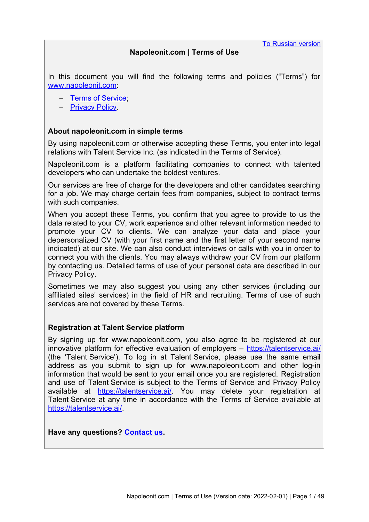[To Russian version](#page-23-0)

# **Napoleonit.com | Terms of Use**

In this document you will find the following terms and policies ("Terms") for [www.napoleonit.com](http://www.napoleonit.com/):

- - [Terms of Service](#page-1-0):
- - [Privacy Policy](#page-9-0)

# **About napoleonit.com in simple terms**

By using napoleonit.com or otherwise accepting these Terms, you enter into legal relations with Talent Service Inc. (as indicated in the Terms of Service).

Napoleonit.com is a platform facilitating companies to connect with talented developers who can undertake the boldest ventures.

Our services are free of charge for the developers and other candidates searching for a job. We may charge certain fees from companies, subject to contract terms with such companies.

When you accept these Terms, you confirm that you agree to provide to us the data related to your CV, work experience and other relevant information needed to promote your CV to clients. We can analyze your data and place your depersonalized CV (with your first name and the first letter of your second name indicated) at our site. We can also conduct interviews or calls with you in order to connect you with the clients. You may always withdraw your CV from our platform by contacting us. Detailed terms of use of your personal data are described in our Privacy Policy.

Sometimes we may also suggest you using any other services (including our affiliated sites' services) in the field of HR and recruiting. Terms of use of such services are not covered by these Terms.

## **Registration at Talent Service platform**

By signing up for www.napoleonit.com, you also agree to be registered at our innovative platform for effective evaluation of employers – <https://talentservice.ai/> (the 'Talent Service'). To log in at Talent Service, please use the same email address as you submit to sign up for www.napoleonit.com and other log-in information that would be sent to your email once you are registered. Registration and use of Talent Service is subject to the Terms of Service and Privacy Policy available at [https://talentservice.ai/.](https://talentservice.ai/) You may delete your registration at Talent Service at any time in accordance with the Terms of Service available at [https://talentservice.ai/.](https://talentservice.ai/)

**Have any questions? [Contact us](#page-8-0).**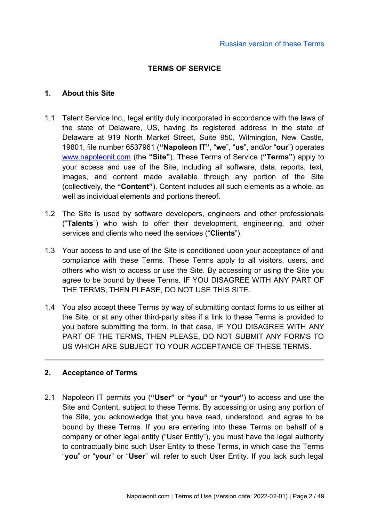# <span id="page-1-0"></span>**TERMS OF SERVICE**

### **1. About this Site**

- 1.1 Talent Service Inc., legal entity duly incorporated in accordance with the laws of the state of Delaware, US, having its registered address in the state of Delaware at 919 North Market Street, Suite 950, Wilmington, New Castle, 19801, file number 6537961 (**"Napoleon IT"**, "**we**", "**us**", and/or "**our**") operates [www.napoleonit.com](http://www.napoleonit.com/) (the **"Site"**). These Terms of Service (**"Terms"**) apply to your access and use of the Site, including all software, data, reports, text, images, and content made available through any portion of the Site (collectively, the **"Content"**). Content includes all such elements as a whole, as well as individual elements and portions thereof.
- 1.2 The Site is used by software developers, engineers and other professionals ("**Talents**") who wish to offer their development, engineering, and other services and clients who need the services ("**Clients**").
- 1.3 Your access to and use of the Site is conditioned upon your acceptance of and compliance with these Terms. These Terms apply to all visitors, users, and others who wish to access or use the Site. By accessing or using the Site you agree to be bound by these Terms. IF YOU DISAGREE WITH ANY PART OF THE TERMS, THEN PLEASE, DO NOT USE THIS SITE.
- 1.4 You also accept these Terms by way of submitting contact forms to us either at the Site, or at any other third-party sites if a link to these Terms is provided to you before submitting the form. In that case, IF YOU DISAGREE WITH ANY PART OF THE TERMS, THEN PLEASE, DO NOT SUBMIT ANY FORMS TO US WHICH ARE SUBJECT TO YOUR ACCEPTANCE OF THESE TERMS.

## **2. Acceptance of Terms**

2.1 Napoleon IT permits you (**"User"** or **"you"** or **"your"**) to access and use the Site and Content, subject to these Terms. By accessing or using any portion of the Site, you acknowledge that you have read, understood, and agree to be bound by these Terms. If you are entering into these Terms on behalf of a company or other legal entity ("User Entity"), you must have the legal authority to contractually bind such User Entity to these Terms, in which case the Terms "**you**" or "**your**" or "**User**" will refer to such User Entity. If you lack such legal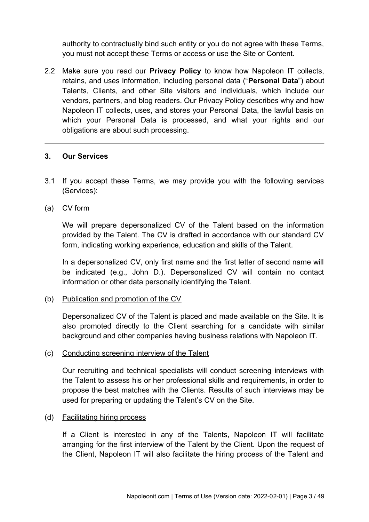authority to contractually bind such entity or you do not agree with these Terms, you must not accept these Terms or access or use the Site or Content.

2.2 Make sure you read our **Privacy Policy** to know how Napoleon IT collects, retains, and uses information, including personal data ("**Personal Data**") about Talents, Clients, and other Site visitors and individuals, which include our vendors, partners, and blog readers. Our Privacy Policy describes why and how Napoleon IT collects, uses, and stores your Personal Data, the lawful basis on which your Personal Data is processed, and what your rights and our obligations are about such processing.

## **3. Our Services**

- 3.1 If you accept these Terms, we may provide you with the following services (Services):
- (a) CV form

We will prepare depersonalized CV of the Talent based on the information provided by the Talent. The CV is drafted in accordance with our standard CV form, indicating working experience, education and skills of the Talent.

In a depersonalized CV, only first name and the first letter of second name will be indicated (e.g., John D.). Depersonalized CV will contain no contact information or other data personally identifying the Talent.

(b) Publication and promotion of the CV

Depersonalized CV of the Talent is placed and made available on the Site. It is also promoted directly to the Client searching for a candidate with similar background and other companies having business relations with Napoleon IT.

(c) Conducting screening interview of the Talent

Our recruiting and technical specialists will conduct screening interviews with the Talent to assess his or her professional skills and requirements, in order to propose the best matches with the Clients. Results of such interviews may be used for preparing or updating the Talent's CV on the Site.

(d) Facilitating hiring process

If a Client is interested in any of the Talents, Napoleon IT will facilitate arranging for the first interview of the Talent by the Client. Upon the request of the Client, Napoleon IT will also facilitate the hiring process of the Talent and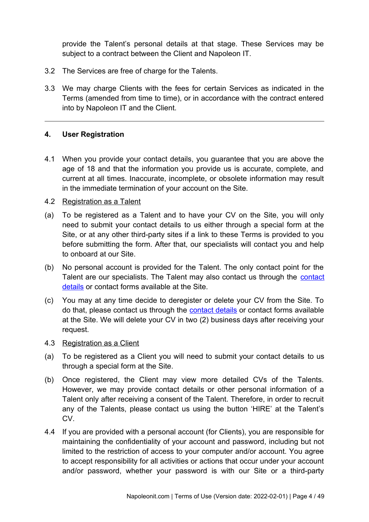provide the Talent's personal details at that stage. These Services may be subject to a contract between the Client and Napoleon IT.

- 3.2 The Services are free of charge for the Talents.
- 3.3 We may charge Clients with the fees for certain Services as indicated in the Terms (amended from time to time), or in accordance with the contract entered into by Napoleon IT and the Client.

## **4. User Registration**

4.1 When you provide your contact details, you guarantee that you are above the age of 18 and that the information you provide us is accurate, complete, and current at all times. Inaccurate, incomplete, or obsolete information may result in the immediate termination of your account on the Site.

## 4.2 Registration as a Talent

- (a) To be registered as a Talent and to have your CV on the Site, you will only need to submit your contact details to us either through a special form at the Site, or at any other third-party sites if a link to these Terms is provided to you before submitting the form. After that, our specialists will contact you and help to onboard at our Site.
- (b) No personal account is provided for the Talent. The only contact point for the Talent are our specialists. The Talent may also [contact](#page-8-0) us through the contact [details](#page-8-0) or contact forms available at the Site.
- (c) You may at any time decide to deregister or delete your CV from the Site. To do that, please contact us through the [contact details](#page-8-0) or contact forms available at the Site. We will delete your CV in two (2) business days after receiving your request.
- 4.3 Registration as a Client
- (a) To be registered as a Client you will need to submit your contact details to us through a special form at the Site.
- (b) Once registered, the Client may view more detailed CVs of the Talents. However, we may provide contact details or other personal information of a Talent only after receiving a consent of the Talent. Therefore, in order to recruit any of the Talents, please contact us using the button 'HIRE' at the Talent's CV.
- 4.4 If you are provided with a personal account (for Clients), you are responsible for maintaining the confidentiality of your account and password, including but not limited to the restriction of access to your computer and/or account. You agree to accept responsibility for all activities or actions that occur under your account and/or password, whether your password is with our Site or a third-party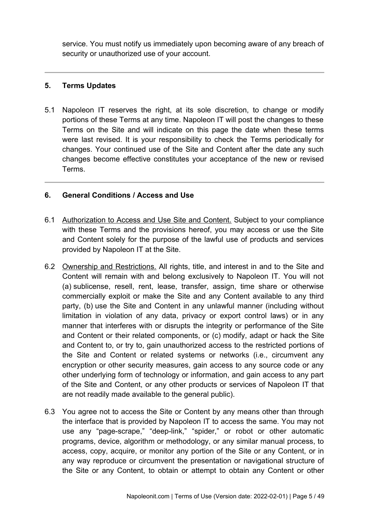service. You must notify us immediately upon becoming aware of any breach of security or unauthorized use of your account.

# **5. Terms Updates**

5.1 Napoleon IT reserves the right, at its sole discretion, to change or modify portions of these Terms at any time. Napoleon IT will post the changes to these Terms on the Site and will indicate on this page the date when these terms were last revised. It is your responsibility to check the Terms periodically for changes. Your continued use of the Site and Content after the date any such changes become effective constitutes your acceptance of the new or revised Terms.

# **6. General Conditions / Access and Use**

- 6.1 Authorization to Access and Use Site and Content. Subject to your compliance with these Terms and the provisions hereof, you may access or use the Site and Content solely for the purpose of the lawful use of products and services provided by Napoleon IT at the Site.
- 6.2 Ownership and Restrictions. All rights, title, and interest in and to the Site and Content will remain with and belong exclusively to Napoleon IT. You will not (a) sublicense, resell, rent, lease, transfer, assign, time share or otherwise commercially exploit or make the Site and any Content available to any third party, (b) use the Site and Content in any unlawful manner (including without limitation in violation of any data, privacy or export control laws) or in any manner that interferes with or disrupts the integrity or performance of the Site and Content or their related components, or (c) modify, adapt or hack the Site and Content to, or try to, gain unauthorized access to the restricted portions of the Site and Content or related systems or networks (i.e., circumvent any encryption or other security measures, gain access to any source code or any other underlying form of technology or information, and gain access to any part of the Site and Content, or any other products or services of Napoleon IT that are not readily made available to the general public).
- 6.3 You agree not to access the Site or Content by any means other than through the interface that is provided by Napoleon IT to access the same. You may not use any "page-scrape," "deep-link," "spider," or robot or other automatic programs, device, algorithm or methodology, or any similar manual process, to access, copy, acquire, or monitor any portion of the Site or any Content, or in any way reproduce or circumvent the presentation or navigational structure of the Site or any Content, to obtain or attempt to obtain any Content or other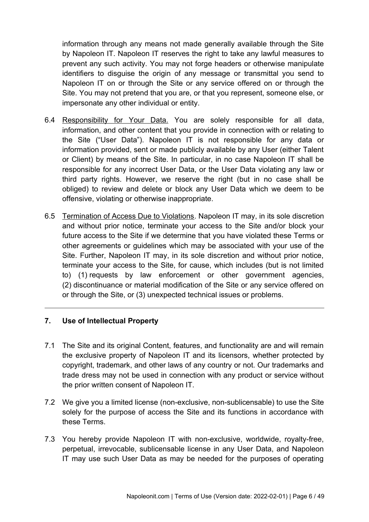information through any means not made generally available through the Site by Napoleon IT. Napoleon IT reserves the right to take any lawful measures to prevent any such activity. You may not forge headers or otherwise manipulate identifiers to disguise the origin of any message or transmittal you send to Napoleon IT on or through the Site or any service offered on or through the Site. You may not pretend that you are, or that you represent, someone else, or impersonate any other individual or entity.

- 6.4 Responsibility for Your Data. You are solely responsible for all data, information, and other content that you provide in connection with or relating to the Site ("User Data"). Napoleon IT is not responsible for any data or information provided, sent or made publicly available by any User (either Talent or Client) by means of the Site. In particular, in no case Napoleon IT shall be responsible for any incorrect User Data, or the User Data violating any law or third party rights. However, we reserve the right (but in no case shall be obliged) to review and delete or block any User Data which we deem to be offensive, violating or otherwise inappropriate.
- 6.5 Termination of Access Due to Violations. Napoleon IT may, in its sole discretion and without prior notice, terminate your access to the Site and/or block your future access to the Site if we determine that you have violated these Terms or other agreements or guidelines which may be associated with your use of the Site. Further, Napoleon IT may, in its sole discretion and without prior notice, terminate your access to the Site, for cause, which includes (but is not limited to) (1) requests by law enforcement or other government agencies, (2) discontinuance or material modification of the Site or any service offered on or through the Site, or (3) unexpected technical issues or problems.

## **7. Use of Intellectual Property**

- 7.1 The Site and its original Content, features, and functionality are and will remain the exclusive property of Napoleon IT and its licensors, whether protected by copyright, trademark, and other laws of any country or not. Our trademarks and trade dress may not be used in connection with any product or service without the prior written consent of Napoleon IT.
- 7.2 We give you a limited license (non-exclusive, non-sublicensable) to use the Site solely for the purpose of access the Site and its functions in accordance with these Terms.
- 7.3 You hereby provide Napoleon IT with non-exclusive, worldwide, royalty-free, perpetual, irrevocable, sublicensable license in any User Data, and Napoleon IT may use such User Data as may be needed for the purposes of operating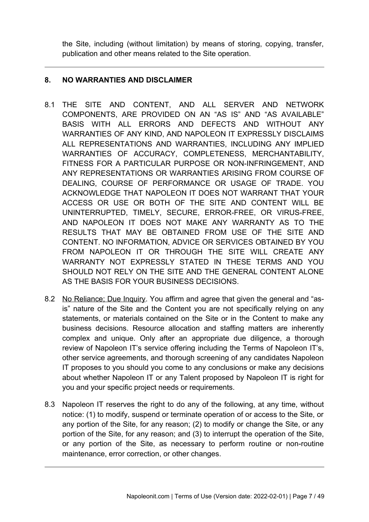the Site, including (without limitation) by means of storing, copying, transfer, publication and other means related to the Site operation.

# **8. NO WARRANTIES AND DISCLAIMER**

- 8.1 THE SITE AND CONTENT, AND ALL SERVER AND NETWORK COMPONENTS, ARE PROVIDED ON AN "AS IS" AND "AS AVAILABLE" BASIS WITH ALL ERRORS AND DEFECTS AND WITHOUT ANY WARRANTIES OF ANY KIND, AND NAPOLEON IT EXPRESSLY DISCLAIMS ALL REPRESENTATIONS AND WARRANTIES, INCLUDING ANY IMPLIED WARRANTIES OF ACCURACY, COMPLETENESS, MERCHANTABILITY, FITNESS FOR A PARTICULAR PURPOSE OR NON-INFRINGEMENT, AND ANY REPRESENTATIONS OR WARRANTIES ARISING FROM COURSE OF DEALING, COURSE OF PERFORMANCE OR USAGE OF TRADE. YOU ACKNOWLEDGE THAT NAPOLEON IT DOES NOT WARRANT THAT YOUR ACCESS OR USE OR BOTH OF THE SITE AND CONTENT WILL BE UNINTERRUPTED, TIMELY, SECURE, ERROR-FREE, OR VIRUS-FREE, AND NAPOLEON IT DOES NOT MAKE ANY WARRANTY AS TO THE RESULTS THAT MAY BE OBTAINED FROM USE OF THE SITE AND CONTENT. NO INFORMATION, ADVICE OR SERVICES OBTAINED BY YOU FROM NAPOLEON IT OR THROUGH THE SITE WILL CREATE ANY WARRANTY NOT EXPRESSLY STATED IN THESE TERMS AND YOU SHOULD NOT RELY ON THE SITE AND THE GENERAL CONTENT ALONE AS THE BASIS FOR YOUR BUSINESS DECISIONS.
- 8.2 No Reliance; Due Inquiry. You affirm and agree that given the general and "asis" nature of the Site and the Content you are not specifically relying on any statements, or materials contained on the Site or in the Content to make any business decisions. Resource allocation and staffing matters are inherently complex and unique. Only after an appropriate due diligence, a thorough review of Napoleon IT's service offering including the Terms of Napoleon IT's, other service agreements, and thorough screening of any candidates Napoleon IT proposes to you should you come to any conclusions or make any decisions about whether Napoleon IT or any Talent proposed by Napoleon IT is right for you and your specific project needs or requirements.
- 8.3 Napoleon IT reserves the right to do any of the following, at any time, without notice: (1) to modify, suspend or terminate operation of or access to the Site, or any portion of the Site, for any reason; (2) to modify or change the Site, or any portion of the Site, for any reason; and (3) to interrupt the operation of the Site, or any portion of the Site, as necessary to perform routine or non-routine maintenance, error correction, or other changes.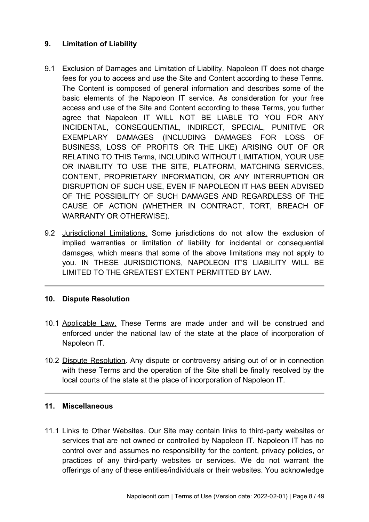# **9. Limitation of Liability**

- 9.1 Exclusion of Damages and Limitation of Liability. Napoleon IT does not charge fees for you to access and use the Site and Content according to these Terms. The Content is composed of general information and describes some of the basic elements of the Napoleon IT service. As consideration for your free access and use of the Site and Content according to these Terms, you further agree that Napoleon IT WILL NOT BE LIABLE TO YOU FOR ANY INCIDENTAL, CONSEQUENTIAL, INDIRECT, SPECIAL, PUNITIVE OR EXEMPLARY DAMAGES (INCLUDING DAMAGES FOR LOSS OF BUSINESS, LOSS OF PROFITS OR THE LIKE) ARISING OUT OF OR RELATING TO THIS Terms, INCLUDING WITHOUT LIMITATION, YOUR USE OR INABILITY TO USE THE SITE, PLATFORM, MATCHING SERVICES, CONTENT, PROPRIETARY INFORMATION, OR ANY INTERRUPTION OR DISRUPTION OF SUCH USE, EVEN IF NAPOLEON IT HAS BEEN ADVISED OF THE POSSIBILITY OF SUCH DAMAGES AND REGARDLESS OF THE CAUSE OF ACTION (WHETHER IN CONTRACT, TORT, BREACH OF WARRANTY OR OTHERWISE).
- 9.2 Jurisdictional Limitations. Some jurisdictions do not allow the exclusion of implied warranties or limitation of liability for incidental or consequential damages, which means that some of the above limitations may not apply to you. IN THESE JURISDICTIONS, NAPOLEON IT'S LIABILITY WILL BE LIMITED TO THE GREATEST EXTENT PERMITTED BY LAW.

# **10. Dispute Resolution**

- 10.1 Applicable Law. These Terms are made under and will be construed and enforced under the national law of the state at the place of incorporation of Napoleon IT.
- 10.2 Dispute Resolution. Any dispute or controversy arising out of or in connection with these Terms and the operation of the Site shall be finally resolved by the local courts of the state at the place of incorporation of Napoleon IT.

# **11. Miscellaneous**

11.1 Links to Other Websites. Our Site may contain links to third-party websites or services that are not owned or controlled by Napoleon IT. Napoleon IT has no control over and assumes no responsibility for the content, privacy policies, or practices of any third-party websites or services. We do not warrant the offerings of any of these entities/individuals or their websites. You acknowledge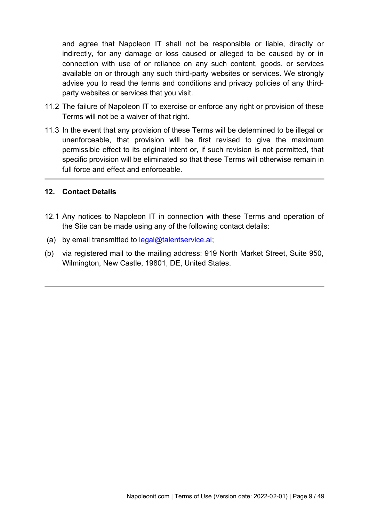and agree that Napoleon IT shall not be responsible or liable, directly or indirectly, for any damage or loss caused or alleged to be caused by or in connection with use of or reliance on any such content, goods, or services available on or through any such third-party websites or services. We strongly advise you to read the terms and conditions and privacy policies of any thirdparty websites or services that you visit.

- 11.2 The failure of Napoleon IT to exercise or enforce any right or provision of these Terms will not be a waiver of that right.
- 11.3 In the event that any provision of these Terms will be determined to be illegal or unenforceable, that provision will be first revised to give the maximum permissible effect to its original intent or, if such revision is not permitted, that specific provision will be eliminated so that these Terms will otherwise remain in full force and effect and enforceable.

## <span id="page-8-0"></span>**12. Contact Details**

- 12.1 Any notices to Napoleon IT in connection with these Terms and operation of the Site can be made using any of the following contact details:
- (a) by email transmitted to [legal@talentservice.ai](mailto:legal@talentservice.ai);
- (b) via registered mail to the mailing address: 919 North Market Street, Suite 950, Wilmington, New Castle, 19801, DE, United States.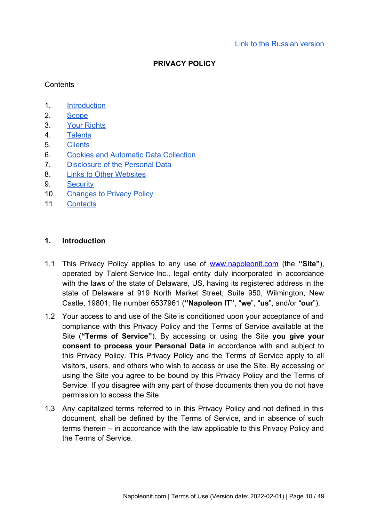## **PRIVACY POLICY**

### **Contents**

- 1. Introduction
- 2. Scope
- 3. Your Rights
- 4. Talents
- 5. Clients
- 6. Cookies and Automatic Data Collection
- 7. Disclosure of the Personal Data
- 8. Links to Other Websites
- 9. Security
- 10. Changes to Privacy Policy
- 11. Contacts

### <span id="page-9-0"></span>**1. Introduction**

- 1.1 This Privacy Policy applies to any use of [www.napoleonit.com](http://www.napoleonit.com/) (the **"Site"**), operated by Talent Service Inc., legal entity duly incorporated in accordance with the laws of the state of Delaware, US, having its registered address in the state of Delaware at 919 North Market Street, Suite 950, Wilmington, New Castle, 19801, file number 6537961 (**"Napoleon IT"**, "**we**", "**us**", and/or "**our**").
- 1.2 Your access to and use of the Site is conditioned upon your acceptance of and compliance with this Privacy Policy and the Terms of Service available at the Site (**"Terms of Service"**). By accessing or using the Site **you give your consent to process your Personal Data** in accordance with and subject to this Privacy Policy. This Privacy Policy and the Terms of Service apply to all visitors, users, and others who wish to access or use the Site. By accessing or using the Site you agree to be bound by this Privacy Policy and the Terms of Service. If you disagree with any part of those documents then you do not have permission to access the Site.
- 1.3 Any capitalized terms referred to in this Privacy Policy and not defined in this document, shall be defined by the Terms of Service, and in absence of such terms therein – in accordance with the law applicable to this Privacy Policy and the Terms of Service.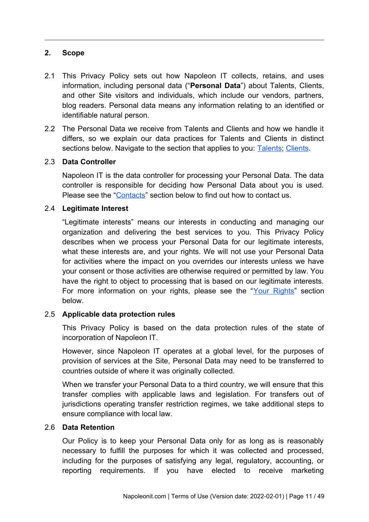# **2. Scope**

- 2.1 This Privacy Policy sets out how Napoleon IT collects, retains, and uses information, including personal data ("**Personal Data**") about Talents, Clients, and other Site visitors and individuals, which include our vendors, partners, blog readers. Personal data means any information relating to an identified or identifiable natural person.
- 2.2 The Personal Data we receive from Talents and Clients and how we handle it differs, so we explain our data practices for Talents and Clients in distinct sections below. Navigate to the section that applies to you: Talents; Clients.

## 2.3 **Data Controller**

Napoleon IT is the data controller for processing your Personal Data. The data controller is responsible for deciding how Personal Data about you is used. Please see the "Contacts" section below to find out how to contact us.

## 2.4 **Legitimate Interest**

"Legitimate interests" means our interests in conducting and managing our organization and delivering the best services to you. This Privacy Policy describes when we process your Personal Data for our legitimate interests, what these interests are, and your rights. We will not use your Personal Data for activities where the impact on you overrides our interests unless we have your consent or those activities are otherwise required or permitted by law. You have the right to object to processing that is based on our legitimate interests. For more information on your rights, please see the "Your Rights" section below.

## 2.5 **Applicable data protection rules**

This Privacy Policy is based on the data protection rules of the state of incorporation of Napoleon IT.

However, since Napoleon IT operates at a global level, for the purposes of provision of services at the Site, Personal Data may need to be transferred to countries outside of where it was originally collected.

When we transfer your Personal Data to a third country, we will ensure that this transfer complies with applicable laws and legislation. For transfers out of jurisdictions operating transfer restriction regimes, we take additional steps to ensure compliance with local law.

## 2.6 **Data Retention**

Our Policy is to keep your Personal Data only for as long as is reasonably necessary to fulfill the purposes for which it was collected and processed, including for the purposes of satisfying any legal, regulatory, accounting, or reporting requirements. If you have elected to receive marketing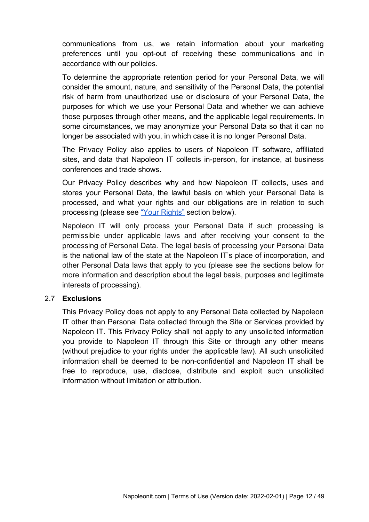communications from us, we retain information about your marketing preferences until you opt-out of receiving these communications and in accordance with our policies.

To determine the appropriate retention period for your Personal Data, we will consider the amount, nature, and sensitivity of the Personal Data, the potential risk of harm from unauthorized use or disclosure of your Personal Data, the purposes for which we use your Personal Data and whether we can achieve those purposes through other means, and the applicable legal requirements. In some circumstances, we may anonymize your Personal Data so that it can no longer be associated with you, in which case it is no longer Personal Data.

The Privacy Policy also applies to users of Napoleon IT software, affiliated sites, and data that Napoleon IT collects in-person, for instance, at business conferences and trade shows.

Our Privacy Policy describes why and how Napoleon IT collects, uses and stores your Personal Data, the lawful basis on which your Personal Data is processed, and what your rights and our obligations are in relation to such processing (please see "Your Rights" section below).

Napoleon IT will only process your Personal Data if such processing is permissible under applicable laws and after receiving your consent to the processing of Personal Data. The legal basis of processing your Personal Data is the national law of the state at the Napoleon IT's place of incorporation, and other Personal Data laws that apply to you (please see the sections below for more information and description about the legal basis, purposes and legitimate interests of processing).

## 2.7 **Exclusions**

This Privacy Policy does not apply to any Personal Data collected by Napoleon IT other than Personal Data collected through the Site or Services provided by Napoleon IT. This Privacy Policy shall not apply to any unsolicited information you provide to Napoleon IT through this Site or through any other means (without prejudice to your rights under the applicable law). All such unsolicited information shall be deemed to be non-confidential and Napoleon IT shall be free to reproduce, use, disclose, distribute and exploit such unsolicited information without limitation or attribution.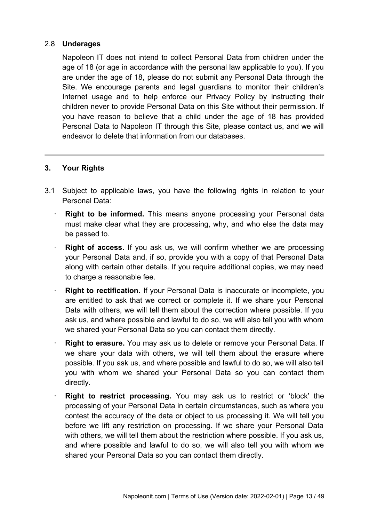# 2.8 **Underages**

Napoleon IT does not intend to collect Personal Data from children under the age of 18 (or age in accordance with the personal law applicable to you). If you are under the age of 18, please do not submit any Personal Data through the Site. We encourage parents and legal guardians to monitor their children's Internet usage and to help enforce our Privacy Policy by instructing their children never to provide Personal Data on this Site without their permission. If you have reason to believe that a child under the age of 18 has provided Personal Data to Napoleon IT through this Site, please contact us, and we will endeavor to delete that information from our databases.

# **3. Your Rights**

- 3.1 Subject to applicable laws, you have the following rights in relation to your Personal Data:
	- **Right to be informed.** This means anyone processing your Personal data must make clear what they are processing, why, and who else the data may be passed to.
	- **Right of access.** If you ask us, we will confirm whether we are processing your Personal Data and, if so, provide you with a copy of that Personal Data along with certain other details. If you require additional copies, we may need to charge a reasonable fee.
	- **Right to rectification.** If your Personal Data is inaccurate or incomplete, you are entitled to ask that we correct or complete it. If we share your Personal Data with others, we will tell them about the correction where possible. If you ask us, and where possible and lawful to do so, we will also tell you with whom we shared your Personal Data so you can contact them directly.
	- **Right to erasure.** You may ask us to delete or remove your Personal Data. If we share your data with others, we will tell them about the erasure where possible. If you ask us, and where possible and lawful to do so, we will also tell you with whom we shared your Personal Data so you can contact them directly.
	- **Right to restrict processing.** You may ask us to restrict or 'block' the processing of your Personal Data in certain circumstances, such as where you contest the accuracy of the data or object to us processing it. We will tell you before we lift any restriction on processing. If we share your Personal Data with others, we will tell them about the restriction where possible. If you ask us, and where possible and lawful to do so, we will also tell you with whom we shared your Personal Data so you can contact them directly.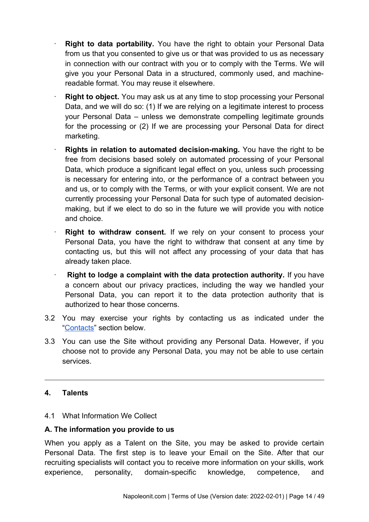- **Right to data portability.** You have the right to obtain your Personal Data from us that you consented to give us or that was provided to us as necessary in connection with our contract with you or to comply with the Terms. We will give you your Personal Data in a structured, commonly used, and machinereadable format. You may reuse it elsewhere.
- **Right to object.** You may ask us at any time to stop processing your Personal Data, and we will do so: (1) If we are relying on a legitimate interest to process your Personal Data – unless we demonstrate compelling legitimate grounds for the processing or (2) If we are processing your Personal Data for direct marketing.
- **Rights in relation to automated decision-making.** You have the right to be free from decisions based solely on automated processing of your Personal Data, which produce a significant legal effect on you, unless such processing is necessary for entering into, or the performance of a contract between you and us, or to comply with the Terms, or with your explicit consent. We are not currently processing your Personal Data for such type of automated decisionmaking, but if we elect to do so in the future we will provide you with notice and choice.
- **Right to withdraw consent.** If we rely on your consent to process your Personal Data, you have the right to withdraw that consent at any time by contacting us, but this will not affect any processing of your data that has already taken place.
- **Right to lodge a complaint with the data protection authority.** If you have a concern about our privacy practices, including the way we handled your Personal Data, you can report it to the data protection authority that is authorized to hear those concerns.
- 3.2 You may exercise your rights by contacting us as indicated under the "Contacts" section below.
- 3.3 You can use the Site without providing any Personal Data. However, if you choose not to provide any Personal Data, you may not be able to use certain services.

# **4. Talents**

# 4.1 What Information We Collect

# **A. The information you provide to us**

When you apply as a Talent on the Site, you may be asked to provide certain Personal Data. The first step is to leave your Email on the Site. After that our recruiting specialists will contact you to receive more information on your skills, work experience, personality, domain-specific knowledge, competence, and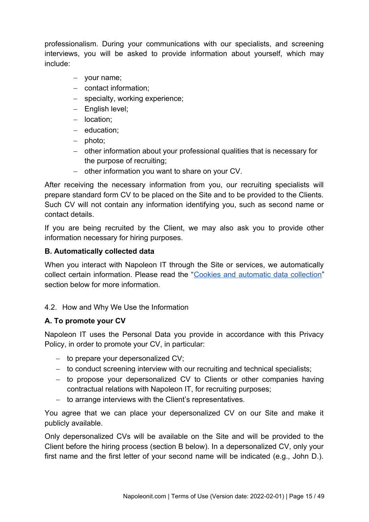professionalism. During your communications with our specialists, and screening interviews, you will be asked to provide information about yourself, which may include:

- your name;
- contact information:
- specialty, working experience;
- English level;
- location:
- education:
- photo:
- other information about your professional qualities that is necessary for the purpose of recruiting;
- $-$  other information you want to share on your CV.

After receiving the necessary information from you, our recruiting specialists will prepare standard form CV to be placed on the Site and to be provided to the Clients. Such CV will not contain any information identifying you, such as second name or contact details.

If you are being recruited by the Client, we may also ask you to provide other information necessary for hiring purposes.

# **B. Automatically collected data**

When you interact with Napoleon IT through the Site or services, we automatically collect certain information. Please read the "Cookies and automatic data collection" section below for more information.

# 4.2. How and Why We Use the Information

# **A. To promote your CV**

Napoleon IT uses the Personal Data you provide in accordance with this Privacy Policy, in order to promote your CV, in particular:

- $-$  to prepare your depersonalized CV:
- to conduct screening interview with our recruiting and technical specialists;
- to propose your depersonalized CV to Clients or other companies having contractual relations with Napoleon IT, for recruiting purposes;
- $-$  to arrange interviews with the Client's representatives.

You agree that we can place your depersonalized CV on our Site and make it publicly available.

Only depersonalized CVs will be available on the Site and will be provided to the Client before the hiring process (section B below). In a depersonalized CV, only your first name and the first letter of your second name will be indicated (e.g., John D.).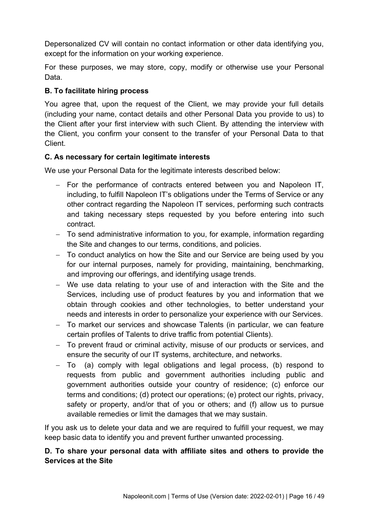Depersonalized CV will contain no contact information or other data identifying you, except for the information on your working experience.

For these purposes, we may store, copy, modify or otherwise use your Personal Data.

# **B. To facilitate hiring process**

You agree that, upon the request of the Client, we may provide your full details (including your name, contact details and other Personal Data you provide to us) to the Client after your first interview with such Client. By attending the interview with the Client, you confirm your consent to the transfer of your Personal Data to that **Client** 

# **C. As necessary for certain legitimate interests**

We use your Personal Data for the legitimate interests described below:

- $-$  For the performance of contracts entered between you and Napoleon IT, including, to fulfill Napoleon IT's obligations under the Terms of Service or any other contract regarding the Napoleon IT services, performing such contracts and taking necessary steps requested by you before entering into such contract.
- To send administrative information to you, for example, information regarding the Site and changes to our terms, conditions, and policies.
- To conduct analytics on how the Site and our Service are being used by you for our internal purposes, namely for providing, maintaining, benchmarking, and improving our offerings, and identifying usage trends.
- We use data relating to your use of and interaction with the Site and the Services, including use of product features by you and information that we obtain through cookies and other technologies, to better understand your needs and interests in order to personalize your experience with our Services.
- To market our services and showcase Talents (in particular, we can feature certain profiles of Talents to drive traffic from potential Clients).
- To prevent fraud or criminal activity, misuse of our products or services, and ensure the security of our IT systems, architecture, and networks.
- To (a) comply with legal obligations and legal process, (b) respond to requests from public and government authorities including public and government authorities outside your country of residence; (c) enforce our terms and conditions; (d) protect our operations; (e) protect our rights, privacy, safety or property, and/or that of you or others; and (f) allow us to pursue available remedies or limit the damages that we may sustain.

If you ask us to delete your data and we are required to fulfill your request, we may keep basic data to identify you and prevent further unwanted processing.

# **D. To share your personal data with affiliate sites and others to provide the Services at the Site**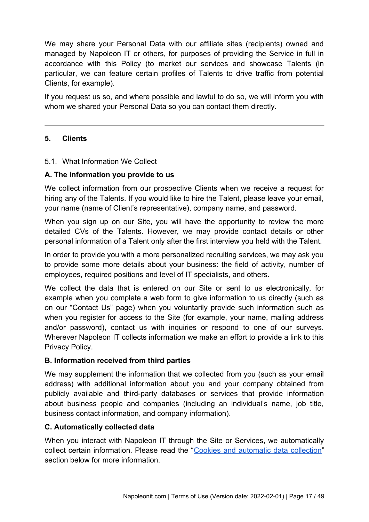We may share your Personal Data with our affiliate sites (recipients) owned and managed by Napoleon IT or others, for purposes of providing the Service in full in accordance with this Policy (to market our services and showcase Talents (in particular, we can feature certain profiles of Talents to drive traffic from potential Clients, for example).

If you request us so, and where possible and lawful to do so, we will inform you with whom we shared your Personal Data so you can contact them directly.

# **5. Clients**

# 5.1. What Information We Collect

# **A. The information you provide to us**

We collect information from our prospective Clients when we receive a request for hiring any of the Talents. If you would like to hire the Talent, please leave your email, your name (name of Client's representative), company name, and password.

When you sign up on our Site, you will have the opportunity to review the more detailed CVs of the Talents. However, we may provide contact details or other personal information of a Talent only after the first interview you held with the Talent.

In order to provide you with a more personalized recruiting services, we may ask you to provide some more details about your business: the field of activity, number of employees, required positions and level of IT specialists, and others.

We collect the data that is entered on our Site or sent to us electronically, for example when you complete a web form to give information to us directly (such as on our "Contact Us" page) when you voluntarily provide such information such as when you register for access to the Site (for example, your name, mailing address and/or password), contact us with inquiries or respond to one of our surveys. Wherever Napoleon IT collects information we make an effort to provide a link to this Privacy Policy.

## **B. Information received from third parties**

We may supplement the information that we collected from you (such as your email address) with additional information about you and your company obtained from publicly available and third-party databases or services that provide information about business people and companies (including an individual's name, job title, business contact information, and company information).

# **C. Automatically collected data**

When you interact with Napoleon IT through the Site or Services, we automatically collect certain information. Please read the "Cookies and automatic data collection" section below for more information.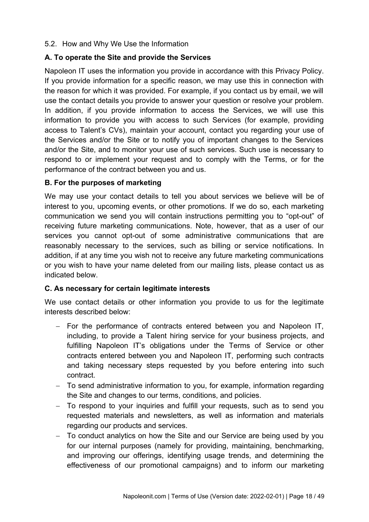## 5.2. How and Why We Use the Information

# **A. To operate the Site and provide the Services**

Napoleon IT uses the information you provide in accordance with this Privacy Policy. If you provide information for a specific reason, we may use this in connection with the reason for which it was provided. For example, if you contact us by email, we will use the contact details you provide to answer your question or resolve your problem. In addition, if you provide information to access the Services, we will use this information to provide you with access to such Services (for example, providing access to Talent's CVs), maintain your account, contact you regarding your use of the Services and/or the Site or to notify you of important changes to the Services and/or the Site, and to monitor your use of such services. Such use is necessary to respond to or implement your request and to comply with the Terms, or for the performance of the contract between you and us.

# **B. For the purposes of marketing**

We may use your contact details to tell you about services we believe will be of interest to you, upcoming events, or other promotions. If we do so, each marketing communication we send you will contain instructions permitting you to "opt-out" of receiving future marketing communications. Note, however, that as a user of our services you cannot opt-out of some administrative communications that are reasonably necessary to the services, such as billing or service notifications. In addition, if at any time you wish not to receive any future marketing communications or you wish to have your name deleted from our mailing lists, please contact us as indicated below.

## **C. As necessary for certain legitimate interests**

We use contact details or other information you provide to us for the legitimate interests described below:

- For the performance of contracts entered between you and Napoleon IT, including, to provide a Talent hiring service for your business projects, and fulfilling Napoleon IT's obligations under the Terms of Service or other contracts entered between you and Napoleon IT, performing such contracts and taking necessary steps requested by you before entering into such contract.
- To send administrative information to you, for example, information regarding the Site and changes to our terms, conditions, and policies.
- To respond to your inquiries and fulfill your requests, such as to send you requested materials and newsletters, as well as information and materials regarding our products and services.
- To conduct analytics on how the Site and our Service are being used by you for our internal purposes (namely for providing, maintaining, benchmarking, and improving our offerings, identifying usage trends, and determining the effectiveness of our promotional campaigns) and to inform our marketing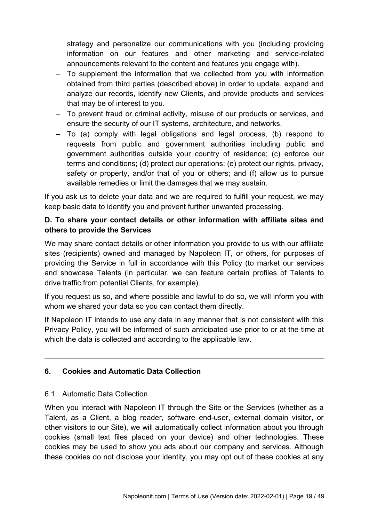strategy and personalize our communications with you (including providing information on our features and other marketing and service-related announcements relevant to the content and features you engage with).

- To supplement the information that we collected from you with information obtained from third parties (described above) in order to update, expand and analyze our records, identify new Clients, and provide products and services that may be of interest to you.
- To prevent fraud or criminal activity, misuse of our products or services, and ensure the security of our IT systems, architecture, and networks.
- To (a) comply with legal obligations and legal process, (b) respond to requests from public and government authorities including public and government authorities outside your country of residence; (c) enforce our terms and conditions; (d) protect our operations; (e) protect our rights, privacy, safety or property, and/or that of you or others; and (f) allow us to pursue available remedies or limit the damages that we may sustain.

If you ask us to delete your data and we are required to fulfill your request, we may keep basic data to identify you and prevent further unwanted processing.

# **D. To share your contact details or other information with affiliate sites and others to provide the Services**

We may share contact details or other information you provide to us with our affiliate sites (recipients) owned and managed by Napoleon IT, or others, for purposes of providing the Service in full in accordance with this Policy (to market our services and showcase Talents (in particular, we can feature certain profiles of Talents to drive traffic from potential Clients, for example).

If you request us so, and where possible and lawful to do so, we will inform you with whom we shared your data so you can contact them directly.

If Napoleon IT intends to use any data in any manner that is not consistent with this Privacy Policy, you will be informed of such anticipated use prior to or at the time at which the data is collected and according to the applicable law.

# **6. Cookies and Automatic Data Collection**

# 6.1. Automatic Data Collection

When you interact with Napoleon IT through the Site or the Services (whether as a Talent, as a Client, a blog reader, software end-user, external domain visitor, or other visitors to our Site), we will automatically collect information about you through cookies (small text files placed on your device) and other technologies. These cookies may be used to show you ads about our company and services. Although these cookies do not disclose your identity, you may opt out of these cookies at any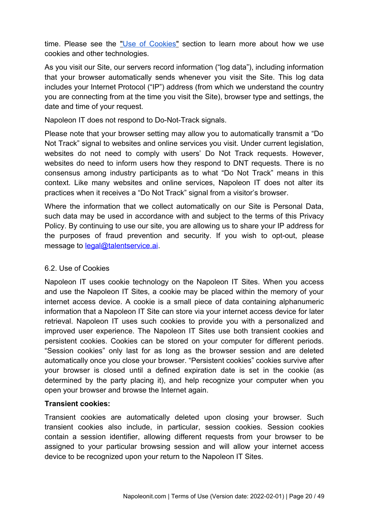time. Please see the "Use of Cookies" section to learn more about how we use cookies and other technologies.

As you visit our Site, our servers record information ("log data"), including information that your browser automatically sends whenever you visit the Site. This log data includes your Internet Protocol ("IP") address (from which we understand the country you are connecting from at the time you visit the Site), browser type and settings, the date and time of your request.

Napoleon IT does not respond to Do-Not-Track signals.

Please note that your browser setting may allow you to automatically transmit a "Do Not Track" signal to websites and online services you visit. Under current legislation, websites do not need to comply with users' Do Not Track requests. However, websites do need to inform users how they respond to DNT requests. There is no consensus among industry participants as to what "Do Not Track" means in this context. Like many websites and online services, Napoleon IT does not alter its practices when it receives a "Do Not Track" signal from a visitor's browser.

Where the information that we collect automatically on our Site is Personal Data, such data may be used in accordance with and subject to the terms of this Privacy Policy. By continuing to use our site, you are allowing us to share your IP address for the purposes of fraud prevention and security. If you wish to opt-out, please message to **legal@talentservice.ai**.

# 6.2. Use of Cookies

Napoleon IT uses cookie technology on the Napoleon IT Sites. When you access and use the Napoleon IT Sites, a cookie may be placed within the memory of your internet access device. A cookie is a small piece of data containing alphanumeric information that a Napoleon IT Site can store via your internet access device for later retrieval. Napoleon IT uses such cookies to provide you with a personalized and improved user experience. The Napoleon IT Sites use both transient cookies and persistent cookies. Cookies can be stored on your computer for different periods. "Session cookies" only last for as long as the browser session and are deleted automatically once you close your browser. "Persistent cookies" cookies survive after your browser is closed until a defined expiration date is set in the cookie (as determined by the party placing it), and help recognize your computer when you open your browser and browse the Internet again.

# **Transient cookies:**

Transient cookies are automatically deleted upon closing your browser. Such transient cookies also include, in particular, session cookies. Session cookies contain a session identifier, allowing different requests from your browser to be assigned to your particular browsing session and will allow your internet access device to be recognized upon your return to the Napoleon IT Sites.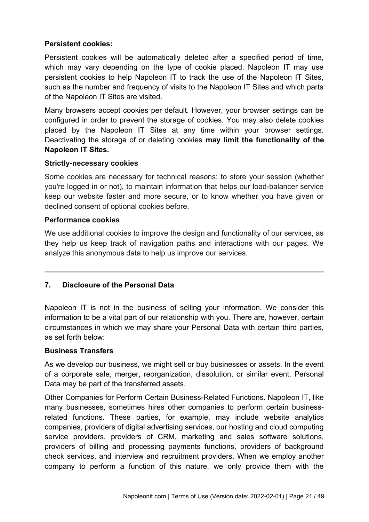# **Persistent cookies:**

Persistent cookies will be automatically deleted after a specified period of time, which may vary depending on the type of cookie placed. Napoleon IT may use persistent cookies to help Napoleon IT to track the use of the Napoleon IT Sites, such as the number and frequency of visits to the Napoleon IT Sites and which parts of the Napoleon IT Sites are visited.

Many browsers accept cookies per default. However, your browser settings can be configured in order to prevent the storage of cookies. You may also delete cookies placed by the Napoleon IT Sites at any time within your browser settings. Deactivating the storage of or deleting cookies **may limit the functionality of the Napoleon IT Sites.**

# **Strictly-necessary cookies**

Some cookies are necessary for technical reasons: to store your session (whether you're logged in or not), to maintain information that helps our load-balancer service keep our website faster and more secure, or to know whether you have given or declined consent of optional cookies before.

# **Performance cookies**

We use additional cookies to improve the design and functionality of our services, as they help us keep track of navigation paths and interactions with our pages. We analyze this anonymous data to help us improve our services.

# **7. Disclosure of the Personal Data**

Napoleon IT is not in the business of selling your information. We consider this information to be a vital part of our relationship with you. There are, however, certain circumstances in which we may share your Personal Data with certain third parties, as set forth below:

# **Business Transfers**

As we develop our business, we might sell or buy businesses or assets. In the event of a corporate sale, merger, reorganization, dissolution, or similar event, Personal Data may be part of the transferred assets.

Other Companies for Perform Certain Business-Related Functions. Napoleon IT, like many businesses, sometimes hires other companies to perform certain businessrelated functions. These parties, for example, may include website analytics companies, providers of digital advertising services, our hosting and cloud computing service providers, providers of CRM, marketing and sales software solutions, providers of billing and processing payments functions, providers of background check services, and interview and recruitment providers. When we employ another company to perform a function of this nature, we only provide them with the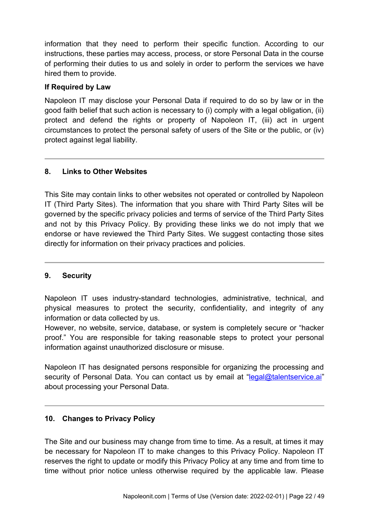information that they need to perform their specific function. According to our instructions, these parties may access, process, or store Personal Data in the course of performing their duties to us and solely in order to perform the services we have hired them to provide.

# **If Required by Law**

Napoleon IT may disclose your Personal Data if required to do so by law or in the good faith belief that such action is necessary to (i) comply with a legal obligation, (ii) protect and defend the rights or property of Napoleon IT, (iii) act in urgent circumstances to protect the personal safety of users of the Site or the public, or (iv) protect against legal liability.

# **8. Links to Other Websites**

This Site may contain links to other websites not operated or controlled by Napoleon IT (Third Party Sites). The information that you share with Third Party Sites will be governed by the specific privacy policies and terms of service of the Third Party Sites and not by this Privacy Policy. By providing these links we do not imply that we endorse or have reviewed the Third Party Sites. We suggest contacting those sites directly for information on their privacy practices and policies.

# **9. Security**

Napoleon IT uses industry-standard technologies, administrative, technical, and physical measures to protect the security, confidentiality, and integrity of any information or data collected by us.

However, no website, service, database, or system is completely secure or "hacker proof." You are responsible for taking reasonable steps to protect your personal information against unauthorized disclosure or misuse.

Napoleon IT has designated persons responsible for organizing the processing and security of Personal Data. You can contact us by email at "[legal@talentservice.ai](mailto:legal@talentservice.ai)" about processing your Personal Data.

## **10. Changes to Privacy Policy**

The Site and our business may change from time to time. As a result, at times it may be necessary for Napoleon IT to make changes to this Privacy Policy. Napoleon IT reserves the right to update or modify this Privacy Policy at any time and from time to time without prior notice unless otherwise required by the applicable law. Please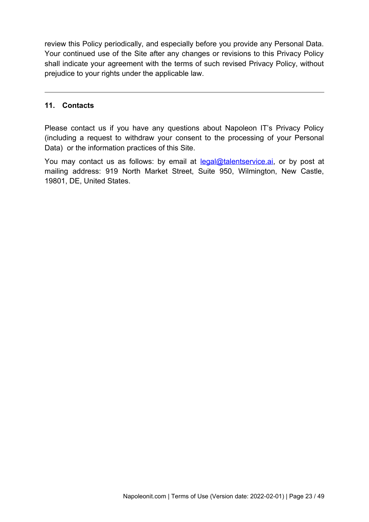review this Policy periodically, and especially before you provide any Personal Data. Your continued use of the Site after any changes or revisions to this Privacy Policy shall indicate your agreement with the terms of such revised Privacy Policy, without prejudice to your rights under the applicable law.

## **11. Contacts**

Please contact us if you have any questions about Napoleon IT's Privacy Policy (including a request to withdraw your consent to the processing of your Personal Data) or the information practices of this Site.

You may contact us as follows: by email at legal@talentservice.ai, or by post at mailing address: 919 North Market Street, Suite 950, Wilmington, New Castle, 19801, DE, United States.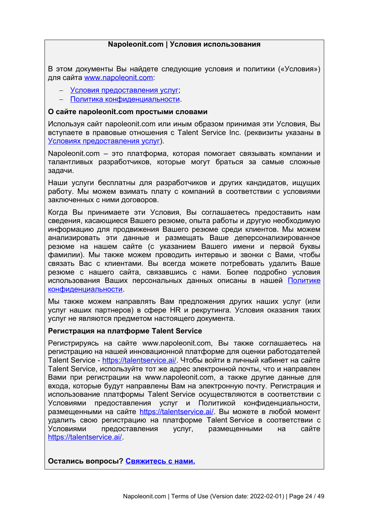### <span id="page-23-0"></span>**Napoleonit.com | Условия использования**

В этом документы Вы найдете следующие условия и политики («Условия») для сайта www.napoleonit.com:

- [Условия предоставления услуг](#page-24-0);
- [Политика конфиденциальности](#page-33-0).

#### **О сайте napoleonit.com простыми словами**

Используя сайт napoleonit.com или иным образом принимая эти Условия, Вы вступаете в правовые отношения с Talent Service Inc. (реквизиты указаны в [Условиях предоставления услуг](#page-24-0)).

Napoleonit.com – это платформа, которая помогает связывать компании и талантливых разработчиков, которые могут браться за самые сложные задачи.

Наши услуги бесплатны для разработчиков и других кандидатов, ищущих работу. Мы можем взимать плату с компаний в соответствии с условиями заключенных с ними договоров.

Когда Вы принимаете эти Условия, Вы соглашаетесь предоставить нам сведения, касающиеся Вашего резюме, опыта работы и другую необходимую информацию для продвижения Вашего резюме среди клиентов. Мы можем анализировать эти данные и размещать Ваше деперсонализированное резюме на нашем сайте (с указанием Вашего имени и первой буквы фамилии). Мы также можем проводить интервью и звонки с Вами, чтобы связать Вас с клиентами. Вы всегда можете потребовать удалить Ваше резюме с нашего сайта, связавшись с нами. Более подробно условия использования Ваших персональных данных описаны в нашей [Политике](#page-33-0) [конфиденциальности](#page-33-0).

Мы также можем направлять Вам предложения других наших услуг (или услуг наших партнеров) в сфере HR и рекрутинга. Условия оказания таких услуг не являются предметом настоящего документа.

#### **Регистрация на платформе Talent Service**

Регистрируясь на сайте www.napoleonit.com, Вы также соглашаетесь на регистрацию на нашей инновационной платформе для оценки работодателей Talent Service - [https://talentservice.ai/.](https://talentservice.ai/) Чтобы войти в личный кабинет на сайте Talent Service, используйте тот же адрес электронной почты, что и направлен Вами при регистрации на www.napoleonit.com, а также другие данные для входа, которые будут направлены Вам на электронную почту. Регистрация и использование платформы Talent Service осуществляются в соответствии с Условиями предоставления услуг и Политикой конфиденциальности, размещенными на сайте [https://talentservice.ai/.](https://talentservice.ai/) Вы можете в любой момент удалить свою регистрацию на платформе Talent Service в соответствии с Условиями предоставления услуг, размещенными на сайте [https://talentservice.ai/.](https://talentservice.ai/)

**Остались вопросы? [Свяжитесь с нами.](#page-8-0)**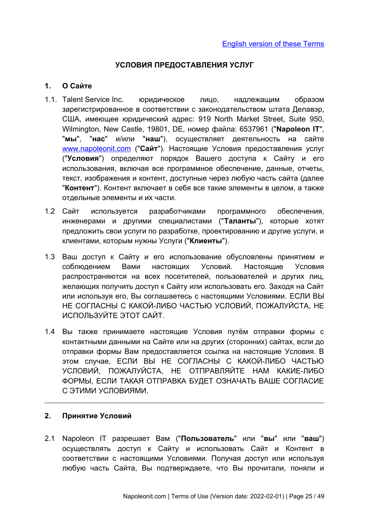# <span id="page-24-0"></span>**УСЛОВИЯ ПРЕДОСТАВЛЕНИЯ УСЛУГ**

# **1. О Сайте**

- 1.1. Talent Service Inc. юридическое лицо, надлежащим образом зарегистрированное в соответствии с законодательством штата Делавэр, США, имеющее юридический адрес: 919 North Market Street, Suite 950, Wilmington, New Castle, 19801, DE, номер файла: 6537961 ("**Napoleon IT**", "**мы**", "**нас**" и/или "**наш**"), осуществляет деятельность на сайте  [www. napoleonit. com](http://www.napoleonit.com/) ("**Сайт**"). Настоящие Условия предоставления услуг ("**Условия**") определяют порядок Вашего доступа к Сайту и его использования, включая все программное обеспечение, данные, отчеты, текст, изображения и контент, доступные через любую часть сайта (далее "**Контент**"). Контент включает в себя все такие элементы в целом, а также отдельные элементы и их части.
- 1.2 Сайт используется разработчиками программного обеспечения, инженерами и другими специалистами ("**Таланты**"), которые хотят предложить свои услуги по разработке, проектированию и другие услуги, и клиентами, которым нужны Услуги ("**Клиенты**").
- 1.3 Ваш доступ к Сайту и его использование обусловлены принятием и соблюдением Вами настоящих Условий. Настоящие Условия распространяются на всех посетителей, пользователей и других лиц, желающих получить доступ к Сайту или использовать его. Заходя на Сайт или используя его, Вы соглашаетесь с настоящими Условиями. ЕСЛИ ВЫ НЕ СОГЛАСНЫ С КАКОЙ-ЛИБО ЧАСТЬЮ УСЛОВИЙ, ПОЖАЛУЙСТА, НЕ ИСПОЛЬЗУЙТЕ ЭТОТ САЙТ.
- 1.4 Вы также принимаете настоящие Условия путём отправки формы с контактными данными на Сайте или на других (сторонних) сайтах, если до отправки формы Вам предоставляется ссылка на настоящие Условия. В этом случае, ЕСЛИ ВЫ НЕ СОГЛАСНЫ С КАКОЙ-ЛИБО ЧАСТЬЮ УСЛОВИЙ, ПОЖАЛУЙСТА, НЕ ОТПРАВЛЯЙТЕ НАМ КАКИЕ-ЛИБО ФОРМЫ, ЕСЛИ ТАКАЯ ОТПРАВКА БУДЕТ ОЗНАЧАТЬ ВАШЕ СОГЛАСИЕ С ЭТИМИ УСЛОВИЯМИ.

## **2. Принятие Условий**

2.1 Napoleon IT разрешает Вам ("**Пользователь**" или "**вы**" или "**ваш**") осуществлять доступ к Сайту и использовать Сайт и Контент в соответствии с настоящими Условиями. Получая доступ или используя любую часть Сайта, Вы подтверждаете, что Вы прочитали, поняли и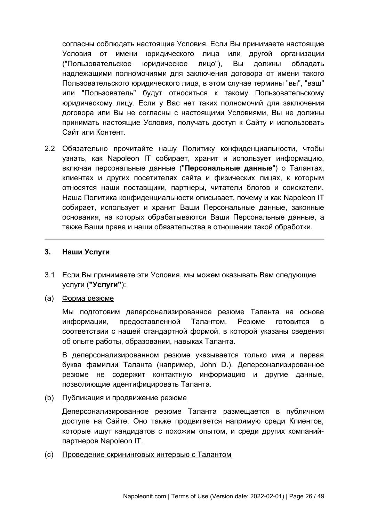согласны соблюдать настоящие Условия. Если Вы принимаете настоящие Условия от имени юридического лица или другой организации ("Пользовательское юридическое лицо"), Вы должны обладать надлежащими полномочиями для заключения договора от имени такого Пользовательского юридического лица, в этом случае термины "вы", "ваш" или "Пользователь" будут относиться к такому Пользовательскому юридическому лицу. Если у Вас нет таких полномочий для заключения договора или Вы не согласны с настоящими Условиями, Вы не должны принимать настоящие Условия, получать доступ к Сайту и использовать Сайт или Контент.

2.2 Обязательно прочитайте нашу Политику конфиденциальности, чтобы узнать, как Napoleon IT собирает, хранит и использует информацию, включая персональные данные ("**Персональные данные**") о Талантах, клиентах и других посетителях сайта и физических лицах, к которым относятся наши поставщики, партнеры, читатели блогов и соискатели. Наша Политика конфиденциальности описывает, почему и как Napoleon IT собирает, использует и хранит Ваши Персональные данные, законные основания, на которых обрабатываются Ваши Персональные данные, а также Ваши права и наши обязательства в отношении такой обработки.

## **3. Наши Услуги**

- 3.1 Если Вы принимаете эти Условия, мы можем оказывать Вам следующие услуги (**"Услуги"**):
- (a) Форма резюме

Мы подготовим деперсонализированное резюме Таланта на основе информации, предоставленной Талантом. Резюме готовится в соответствии с нашей стандартной формой, в которой указаны сведения об опыте работы, образовании, навыках Таланта.

В деперсонализированном резюме указывается только имя и первая буква фамилии Таланта (например, John D.). Деперсонализированное резюме не содержит контактную информацию и другие данные, позволяющие идентифицировать Таланта.

(b) Публикация и продвижение резюме

Деперсонализированное резюме Таланта размещается в публичном доступе на Сайте. Оно также продвигается напрямую среди Клиентов, которые ищут кандидатов с похожим опытом, и среди других компанийпартнеров Napoleon IT.

(c) Проведение скрининговых интервью с Талантом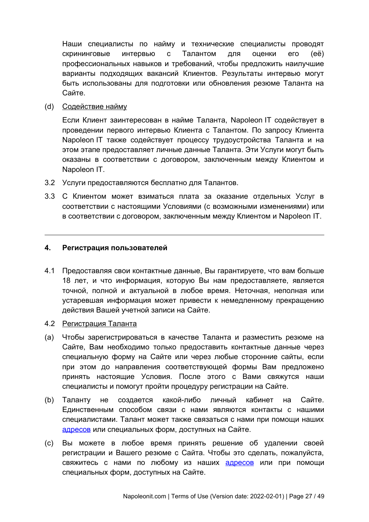Наши специалисты по найму и технические специалисты проводят скрининговые интервью с Талантом для оценки его (её) профессиональных навыков и требований, чтобы предложить наилучшие варианты подходящих вакансий Клиентов. Результаты интервью могут быть использованы для подготовки или обновления резюме Таланта на Сайте.

(d) Содействие найму

Если Клиент заинтересован в найме Таланта, Napoleon IT содействует в проведении первого интервью Клиента с Талантом. По запросу Клиента Napoleon IT также содействует процессу трудоустройства Таланта и на этом этапе предоставляет личные данные Таланта. Эти Услуги могут быть оказаны в соответствии с договором, заключенным между Клиентом и Napoleon IT.

- 3.2 Услуги предоставляются бесплатно для Талантов.
- 3.3 С Клиентом может взиматься плата за оказание отдельных Услуг в соответствии с настоящими Условиями (с возможными изменениями) или в соответствии с договором, заключенным между Клиентом и Napoleon IT.

### **4. Регистрация пользователей**

- 4.1 Предоставляя свои контактные данные, Вы гарантируете, что вам больше 18 лет, и что информация, которую Вы нам предоставляете, является точной, полной и актуальной в любое время. Неточная, неполная или устаревшая информация может привести к немедленному прекращению действия Вашей учетной записи на Сайте.
- 4.2 Регистрация Таланта
- (a) Чтобы зарегистрироваться в качестве Таланта и разместить резюме на Сайте, Вам необходимо только предоставить контактные данные через специальную форму на Сайте или через любые сторонние сайты, если при этом до направления соответствующей формы Вам предложено принять настоящие Условия. После этого с Вами свяжутся наши специалисты и помогут пройти процедуру регистрации на Сайте.
- (b) Таланту не создается какой-либо личный кабинет на Сайте. Единственным способом связи с нами являются контакты с нашими специалистами. Талант может также связаться с нами при помощи наших [адресов](#page-32-0) или специальных форм, доступных на Сайте.
- (c) Вы можете в любое время принять решение об удалении своей регистрации и Вашего резюме с Сайта. Чтобы это сделать, пожалуйста, свяжитесь с нами по любому из наших **адресов** или при помощи специальных форм, доступных на Сайте.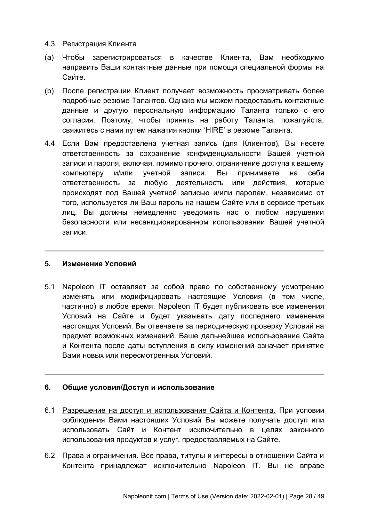### 4.3 Регистрация Клиента

- (a) Чтобы зарегистрироваться в качестве Клиента, Вам необходимо направить Ваши контактные данные при помощи специальной формы на Сайте.
- (b) После регистрации Клиент получает возможность просматривать более подробные резюме Талантов. Однако мы можем предоставить контактные данные и другую персональную информацию Таланта только с его согласия. Поэтому, чтобы принять на работу Таланта, пожалуйста, свяжитесь с нами путем нажатия кнопки 'HIRE' в резюме Таланта.
- 4.4 Если Вам предоставлена учетная запись (для Клиентов), Вы несете ответственность за сохранение конфиденциальности Вашей учетной записи и пароля, включая, помимо прочего, ограничение доступа к вашему компьютеру и/или учетной записи. Вы принимаете на себя ответственность за любую деятельность или действия, которые происходят под Вашей учетной записью и/или паролем, независимо от того, используется ли Ваш пароль на нашем Сайте или в сервисе третьих лиц. Вы должны немедленно уведомить нас о любом нарушении безопасности или несанкционированном использовании Вашей учетной записи.

## **5. Изменение Условий**

5.1 Napoleon IT оставляет за собой право по собственному усмотрению изменять или модифицировать настоящие Условия (в том числе, частично) в любое время. Napoleon IT будет публиковать все изменения Условий на Сайте и будет указывать дату последнего изменения настоящих Условий. Вы отвечаете за периодическую проверку Условий на предмет возможных изменений. Ваше дальнейшее использование Сайта и Контента после даты вступления в силу изменений означает принятие Вами новых или пересмотренных Условий.

# **6. Общие условия/Доступ и использование**

- 6.1 Разрешение на доступ и использование Сайта и Контента. При условии соблюдения Вами настоящих Условий Вы можете получать доступ или использовать Сайт и Контент исключительно в целях законного использования продуктов и услуг, предоставляемых на Сайте.
- 6.2 Права и ограничения. Все права, титулы и интересы в отношении Сайта и Контента принадлежат исключительно Napoleon IT. Вы не вправе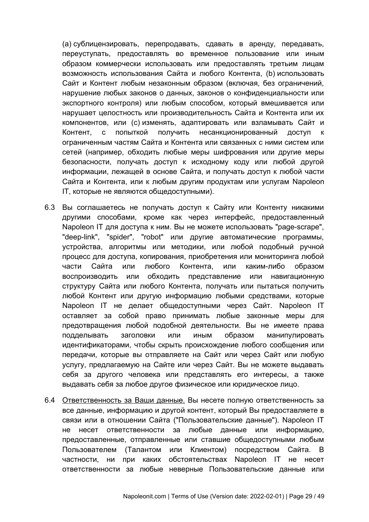(a) сублицензировать, перепродавать, сдавать в аренду, передавать, переуступать, предоставлять во временное пользование или иным образом коммерчески использовать или предоставлять третьим лицам возможность использования Сайта и любого Контента, (b) использовать Сайт и Контент любым незаконным образом (включая, без ограничений, нарушение любых законов о данных, законов о конфиденциальности или экспортного контроля) или любым способом, который вмешивается или нарушает целостность или производительность Сайта и Контента или их компонентов, или (c) изменять, адаптировать или взламывать Сайт и Контент, с попыткой получить несанкционированный доступ к ограниченным частям Сайта и Контента или связанных с ними систем или сетей (например, обходить любые меры шифрования или другие меры безопасности, получать доступ к исходному коду или любой другой информации, лежащей в основе Сайта, и получать доступ к любой части Сайта и Контента, или к любым другим продуктам или услугам Napoleon IT, которые не являются общедоступными).

- 6.3 Вы соглашаетесь не получать доступ к Сайту или Контенту никакими другими способами, кроме как через интерфейс, предоставленный Napoleon IT для доступа к ним. Вы не можете использовать "page-scrape", "deep-link", "spider", "robot" или другие автоматические программы, устройства, алгоритмы или методики, или любой подобный ручной процесс для доступа, копирования, приобретения или мониторинга любой части Сайта или любого Контента, или каким-либо образом воспроизводить или обходить представление или навигационную структуру Сайта или любого Контента, получать или пытаться получить любой Контент или другую информацию любыми средствами, которые Napoleon IT не делает общедоступными через Сайт. Napoleon IT оставляет за собой право принимать любые законные меры для предотвращения любой подобной деятельности. Вы не имеете права подделывать заголовки или иным образом манипулировать идентификаторами, чтобы скрыть происхождение любого сообщения или передачи, которые вы отправляете на Сайт или через Сайт или любую услугу, предлагаемую на Сайте или через Сайт. Вы не можете выдавать себя за другого человека или представлять его интересы, а также выдавать себя за любое другое физическое или юридическое лицо.
- 6.4 Ответственность за Ваши данные. Вы несете полную ответственность за все данные, информацию и другой контент, который Вы предоставляете в связи или в отношении Сайта ("Пользовательские данные"). Napoleon IT не несет ответственности за любые данные или информацию, предоставленные, отправленные или ставшие общедоступными любым Пользователем (Талантом или Клиентом) посредством Сайта. В частности, ни при каких обстоятельствах Napoleon IT не несет ответственности за любые неверные Пользовательские данные или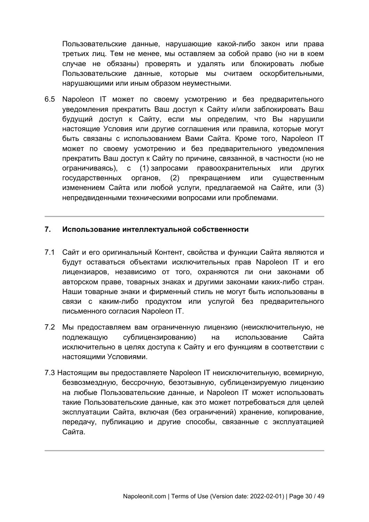Пользовательские данные, нарушающие какой-либо закон или права третьих лиц. Тем не менее, мы оставляем за собой право (но ни в коем случае не обязаны) проверять и удалять или блокировать любые Пользовательские данные, которые мы считаем оскорбительными, нарушающими или иным образом неуместными.

6.5 Napoleon IT может по своему усмотрению и без предварительного уведомления прекратить Ваш доступ к Сайту и/или заблокировать Ваш будущий доступ к Сайту, если мы определим, что Вы нарушили настоящие Условия или другие соглашения или правила, которые могут быть связаны с использованием Вами Сайта. Кроме того, Napoleon IT может по своему усмотрению и без предварительного уведомления прекратить Ваш доступ к Сайту по причине, связанной, в частности (но не ограничиваясь), с (1) запросами правоохранительных или других государственных органов, (2) прекращением или существенным изменением Сайта или любой услуги, предлагаемой на Сайте, или (3) непредвиденными техническими вопросами или проблемами.

### **7. Использование интеллектуальной собственности**

- 7.1 Сайт и его оригинальный Контент, свойства и функции Сайта являются и будут оставаться объектами исключительных прав Napoleon IT и его лицензиаров, независимо от того, охраняются ли они законами об авторском праве, товарных знаках и другими законами каких-либо стран. Наши товарные знаки и фирменный стиль не могут быть использованы в связи с каким-либо продуктом или услугой без предварительного письменного согласия Napoleon IT.
- 7.2 Мы предоставляем вам ограниченную лицензию (неисключительную, не подлежащую сублицензированию) на использование Сайта исключительно в целях доступа к Сайту и его функциям в соответствии с настоящими Условиями.
- 7.3 Настоящим вы предоставляете Napoleon IT неисключительную, всемирную, безвозмездную, бессрочную, безотзывную, сублицензируемую лицензию на любые Пользовательские данные, и Napoleon IT может использовать такие Пользовательские данные, как это может потребоваться для целей эксплуатации Сайта, включая (без ограничений) хранение, копирование, передачу, публикацию и другие способы, связанные с эксплуатацией Сайта.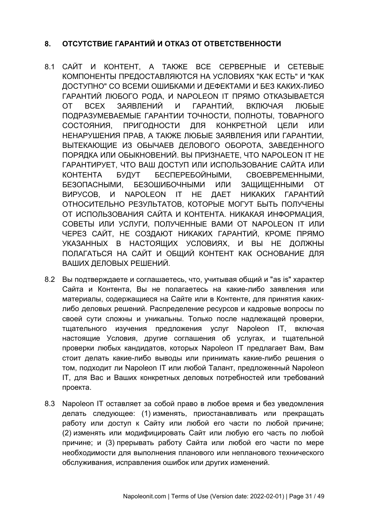# **8. ОТСУТСТВИЕ ГАРАНТИЙ И ОТКАЗ ОТ ОТВЕТСТВЕННОСТИ**

- 8.1 САЙТ И КОНТЕНТ, А ТАКЖЕ ВСЕ СЕРВЕРНЫЕ И СЕТЕВЫЕ КОМПОНЕНТЫ ПРЕДОСТАВЛЯЮТСЯ НА УСЛОВИЯХ "КАК ЕСТЬ" И "КАК ДОСТУПНО" СО ВСЕМИ ОШИБКАМИ И ДЕФЕКТАМИ И БЕЗ КАКИХ-ЛИБО ГАРАНТИЙ ЛЮБОГО РОДА, И NAPOLEON IT ПРЯМО ОТКАЗЫВАЕТСЯ ОТ ВСЕХ ЗАЯВЛЕНИЙ И ГАРАНТИЙ, ВКЛЮЧАЯ ЛЮБЫЕ ПОДРАЗУМЕВАЕМЫЕ ГАРАНТИИ ТОЧНОСТИ, ПОЛНОТЫ, ТОВАРНОГО СОСТОЯНИЯ, ПРИГОДНОСТИ ДЛЯ КОНКРЕТНОЙ ЦЕЛИ ИЛИ НЕНАРУШЕНИЯ ПРАВ, А ТАКЖЕ ЛЮБЫЕ ЗАЯВЛЕНИЯ ИЛИ ГАРАНТИИ, ВЫТЕКАЮЩИЕ ИЗ ОБЫЧАЕВ ДЕЛОВОГО ОБОРОТА, ЗАВЕДЕННОГО ПОРЯДКА ИЛИ ОБЫКНОВЕНИЙ. ВЫ ПРИЗНАЕТЕ, ЧТО NAPOLEON IT НЕ ГАРАНТИРУЕТ, ЧТО ВАШ ДОСТУП ИЛИ ИСПОЛЬЗОВАНИЕ САЙТА ИЛИ КОНТЕНТА БУДУТ БЕСПЕРЕБОЙНЫМИ, СВОЕВРЕМЕННЫМИ, БЕЗОПАСНЫМИ, БЕЗОШИБОЧНЫМИ ИЛИ ЗАЩИЩЕННЫМИ ОТ ВИРУСОВ, И NAPOLEON IT НЕ ДАЕТ НИКАКИХ ГАРАНТИЙ ОТНОСИТЕЛЬНО РЕЗУЛЬТАТОВ, КОТОРЫЕ МОГУТ БЫТЬ ПОЛУЧЕНЫ ОТ ИСПОЛЬЗОВАНИЯ САЙТА И КОНТЕНТА. НИКАКАЯ ИНФОРМАЦИЯ, СОВЕТЫ ИЛИ УСЛУГИ, ПОЛУЧЕННЫЕ ВАМИ ОТ NAPOLEON IT ИЛИ ЧЕРЕЗ САЙТ, НЕ СОЗДАЮТ НИКАКИХ ГАРАНТИЙ, КРОМЕ ПРЯМО УКАЗАННЫХ В НАСТОЯЩИХ УСЛОВИЯХ, И ВЫ НЕ ДОЛЖНЫ ПОЛАГАТЬСЯ НА САЙТ И ОБЩИЙ КОНТЕНТ КАК ОСНОВАНИЕ ДЛЯ ВАШИХ ДЕЛОВЫХ РЕШЕНИЙ.
- 8.2 Вы подтверждаете и соглашаетесь, что, учитывая общий и "as is" характер Сайта и Контента, Вы не полагаетесь на какие-либо заявления или материалы, содержащиеся на Сайте или в Контенте, для принятия какихлибо деловых решений. Распределение ресурсов и кадровые вопросы по своей сути сложны и уникальны. Только после надлежащей проверки, тщательного изучения предложения услуг Napoleon IT, включая настоящие Условия, другие соглашения об услугах, и тщательной проверки любых кандидатов, которых Napoleon IT предлагает Вам, Вам стоит делать какие-либо выводы или принимать какие-либо решения о том, подходит ли Napoleon IT или любой Талант, предложенный Napoleon IT, для Вас и Ваших конкретных деловых потребностей или требований проекта.
- 8.3 Napoleon IT оставляет за собой право в любое время и без уведомления делать следующее: (1) изменять, приостанавливать или прекращать работу или доступ к Сайту или любой его части по любой причине; (2) изменять или модифицировать Сайт или любую его часть по любой причине; и (3) прерывать работу Сайта или любой его части по мере необходимости для выполнения планового или непланового технического обслуживания, исправления ошибок или других изменений.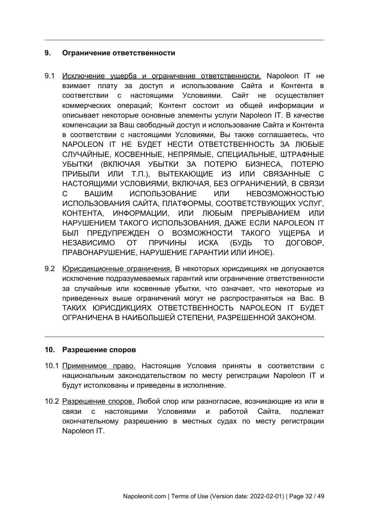### **9. Ограничение ответственности**

- 9.1 Исключение ущерба и ограничение ответственности. Napoleon IT не взимает плату за доступ и использование Сайта и Контента в соответствии с настоящими Условиями. Сайт не осуществляет коммерческих операций; Контент состоит из общей информации и описывает некоторые основные элементы услуги Napoleon IT. В качестве компенсации за Ваш свободный доступ и использование Сайта и Контента в соответствии с настоящими Условиями, Вы также соглашаетесь, что NAPOLEON IT НЕ БУДЕТ НЕСТИ ОТВЕТСТВЕННОСТЬ ЗА ЛЮБЫЕ СЛУЧАЙНЫЕ, КОСВЕННЫЕ, НЕПРЯМЫЕ, СПЕЦИАЛЬНЫЕ, ШТРАФНЫЕ УБЫТКИ (ВКЛЮЧАЯ УБЫТКИ ЗА ПОТЕРЮ БИЗНЕСА, ПОТЕРЮ ПРИБЫЛИ ИЛИ Т.П.), ВЫТЕКАЮЩИЕ ИЗ ИЛИ СВЯЗАННЫЕ С НАСТОЯЩИМИ УСЛОВИЯМИ, ВКЛЮЧАЯ, БЕЗ ОГРАНИЧЕНИЙ, В СВЯЗИ С ВАШИМ ИСПОЛЬЗОВАНИЕ ИЛИ НЕВОЗМОЖНОСТЬЮ ИСПОЛЬЗОВАНИЯ САЙТА, ПЛАТФОРМЫ, СООТВЕТСТВУЮЩИХ УСЛУГ, КОНТЕНТА, ИНФОРМАЦИИ, ИЛИ ЛЮБЫМ ПРЕРЫВАНИЕМ ИЛИ НАРУШЕНИЕМ ТАКОГО ИСПОЛЬЗОВАНИЯ, ДАЖЕ ЕСЛИ NAPOLEON IT БЫЛ ПРЕДУПРЕЖДЕН О ВОЗМОЖНОСТИ ТАКОГО УЩЕРБА И НЕЗАВИСИМО ОТ ПРИЧИНЫ ИСКА (БУДЬ ТО ДОГОВОР, ПРАВОНАРУШЕНИЕ, НАРУШЕНИЕ ГАРАНТИИ ИЛИ ИНОЕ).
- 9.2 Юрисдикционные ограничения. В некоторых юрисдикциях не допускается исключение подразумеваемых гарантий или ограничение ответственности за случайные или косвенные убытки, что означает, что некоторые из приведенных выше ограничений могут не распространяться на Вас. В ТАКИХ ЮРИСДИКЦИЯХ ОТВЕТСТВЕННОСТЬ NAPOLEON IT БУДЕТ ОГРАНИЧЕНА В НАИБОЛЬШЕЙ СТЕПЕНИ, РАЗРЕШЕННОЙ ЗАКОНОМ.

#### **10. Разрешение споров**

- 10.1 Применимое право. Настоящие Условия приняты в соответствии с национальным законодательством по месту регистрации Napoleon IT и будут истолкованы и приведены в исполнение.
- 10.2 Разрешение споров. Любой спор или разногласие, возникающие из или в связи с настоящими Условиями и работой Сайта, подлежат окончательному разрешению в местных судах по месту регистрации Napoleon IT.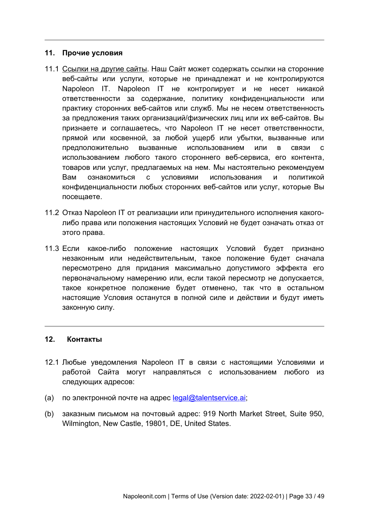#### **11. Прочие условия**

- 11.1 Ссылки на другие сайты. Наш Сайт может содержать ссылки на сторонние веб-сайты или услуги, которые не принадлежат и не контролируются Napoleon IT. Napoleon IT не контролирует и не несет никакой ответственности за содержание, политику конфиденциальности или практику сторонних веб-сайтов или служб. Мы не несем ответственность за предложения таких организаций/физических лиц или их веб-сайтов. Вы признаете и соглашаетесь, что Napoleon IT не несет ответственности, прямой или косвенной, за любой ущерб или убытки, вызванные или предположительно вызванные использованием или в связи с использованием любого такого стороннего веб-сервиса, его контента, товаров или услуг, предлагаемых на нем. Мы настоятельно рекомендуем Вам ознакомиться с условиями использования и политикой конфиденциальности любых сторонних веб-сайтов или услуг, которые Вы посещаете.
- 11.2 Отказ Napoleon IT от реализации или принудительного исполнения какоголибо права или положения настоящих Условий не будет означать отказ от этого права.
- 11.3 Если какое-либо положение настоящих Условий будет признано незаконным или недействительным, такое положение будет сначала пересмотрено для придания максимально допустимого эффекта его первоначальному намерению или, если такой пересмотр не допускается, такое конкретное положение будет отменено, так что в остальном настоящие Условия останутся в полной силе и действии и будут иметь законную силу.

### <span id="page-32-0"></span>**12. Контакты**

- 12.1 Любые уведомления Napoleon IT в связи с настоящими Условиями и работой Сайта могут направляться с использованием любого из следующих адресов:
- (a) по электронной почте на адрес  $\text{lead} \textcircled{a}$  talentservice.ai:
- (b) заказным письмом на почтовый адрес: 919 North Market Street, Suite 950, Wilmington, New Castle, 19801, DE, United States.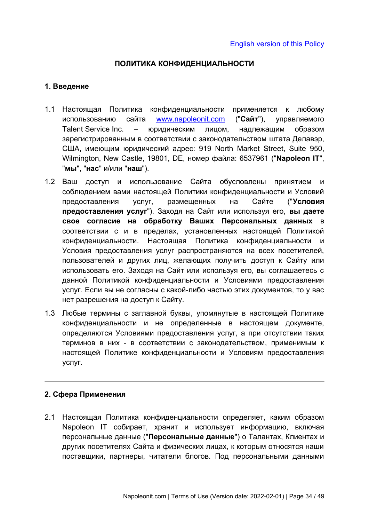## <span id="page-33-0"></span>**ПОЛИТИКА КОНФИДЕНЦИАЛЬНОСТИ**

### **1. Введение**

- 1.1 Настоящая Политика конфиденциальности применяется к любому использованию сайта [www. napoleonit. com](http://www.napoleonit.com/) ("**Сайт**"), управляемого Talent Service Inc. – юридическим лицом, надлежащим образом зарегистрированным в соответствии с законодательством штата Делавэр, США, имеющим юридический адрес: 919 North Market Street, Suite 950, Wilmington, New Castle, 19801, DE, номер файла: 6537961 ("**Napoleon IT**", "**мы**", "**нас**" и/или "**наш**").
- 1.2 Ваш доступ и использование Сайта обусловлены принятием и соблюдением вами настоящей Политики конфиденциальности и Условий предоставления услуг, размещенных на Сайте ("**Условия предоставления услуг**"). Заходя на Сайт или используя его, **вы даете свое согласие на обработку Ваших Персональных данных** в соответствии с и в пределах, установленных настоящей Политикой конфиденциальности. Настоящая Политика конфиденциальности и Условия предоставления услуг распространяются на всех посетителей, пользователей и других лиц, желающих получить доступ к Сайту или использовать его. Заходя на Сайт или используя его, вы соглашаетесь с данной Политикой конфиденциальности и Условиями предоставления услуг. Если вы не согласны с какой-либо частью этих документов, то у вас нет разрешения на доступ к Сайту.
- 1.3 Любые термины с заглавной буквы, упомянутые в настоящей Политике конфиденциальности и не определенные в настоящем документе, определяются Условиями предоставления услуг, а при отсутствии таких терминов в них - в соответствии с законодательством, применимым к настоящей Политике конфиденциальности и Условиям предоставления услуг.

## **2. Сфера Применения**

2.1 Настоящая Политика конфиденциальности определяет, каким образом Napoleon IT собирает, хранит и использует информацию, включая персональные данные ("**Персональные данные**") о Талантах, Клиентах и других посетителях Сайта и физических лицах, к которым относятся наши поставщики, партнеры, читатели блогов. Под персональными данными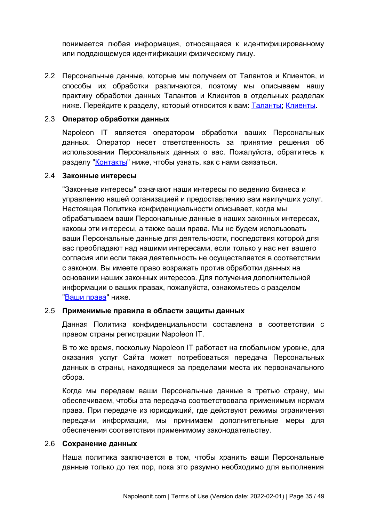понимается любая информация, относящаяся к идентифицированному или поддающемуся идентификации физическому лицу.

2.2 Персональные данные, которые мы получаем от Талантов и Клиентов, и способы их обработки различаются, поэтому мы описываем нашу практику обработки данных Талантов и Клиентов в отдельных разделах ниже. Перейдите к разделу, который относится к вам: [Таланты](#page-38-0); [Клиенты](#page-41-0).

## 2.3 **Оператор обработки данных**

Napoleon IT является оператором обработки ваших Персональных данных. Оператор несет ответственность за принятие решения об использовании Персональных данных о вас. Пожалуйста, обратитесь к разделу ["Контакты](#page-48-0)" ниже, чтобы узнать, как с нами связаться.

#### 2.4 **Законные интересы**

"Законные интересы" означают наши интересы по ведению бизнеса и управлению нашей организацией и предоставлению вам наилучших услуг. Настоящая Политика конфиденциальности описывает, когда мы обрабатываем ваши Персональные данные в наших законных интересах, каковы эти интересы, а также ваши права. Мы не будем использовать ваши Персональные данные для деятельности, последствия которой для вас преобладают над нашими интересами, если только у нас нет вашего согласия или если такая деятельность не осуществляется в соответствии с законом. Вы имеете право возражать против обработки данных на основании наших законных интересов. Для получения дополнительной информации о ваших правах, пожалуйста, ознакомьтесь с разделом "[Ваши права](#page-36-0)" ниже.

#### 2.5 **Применимые правила в области защиты данных**

Данная Политика конфиденциальности составлена в соответствии с правом страны регистрации Napoleon IT.

В то же время, поскольку Napoleon IT работает на глобальном уровне, для оказания услуг Сайта может потребоваться передача Персональных данных в страны, находящиеся за пределами места их первоначального сбора.

Когда мы передаем ваши Персональные данные в третью страну, мы обеспечиваем, чтобы эта передача соответствовала применимым нормам права. При передаче из юрисдикций, где действуют режимы ограничения передачи информации, мы принимаем дополнительные меры для обеспечения соответствия применимому законодательству.

### 2.6 **Сохранение данных**

Наша политика заключается в том, чтобы хранить ваши Персональные данные только до тех пор, пока это разумно необходимо для выполнения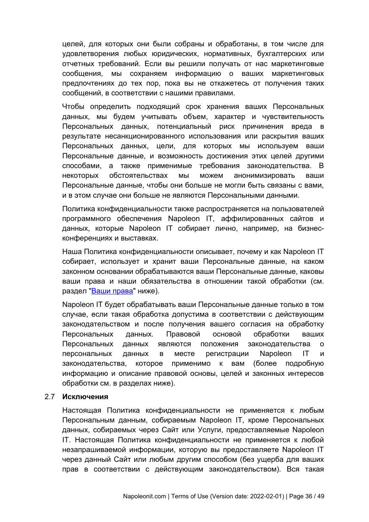целей, для которых они были собраны и обработаны, в том числе для удовлетворения любых юридических, нормативных, бухгалтерских или отчетных требований. Если вы решили получать от нас маркетинговые сообщения, мы сохраняем информацию о ваших маркетинговых предпочтениях до тех пор, пока вы не откажетесь от получения таких сообщений, в соответствии с нашими правилами.

Чтобы определить подходящий срок хранения ваших Персональных данных, мы будем учитывать объем, характер и чувствительность Персональных данных, потенциальный риск причинения вреда в результате несанкционированного использования или раскрытия ваших Персональных данных, цели, для которых мы используем ваши Персональные данные, и возможность достижения этих целей другими способами, а также применимые требования законодательства. В некоторых обстоятельствах мы можем анонимизировать ваши Персональные данные, чтобы они больше не могли быть связаны с вами, и в этом случае они больше не являются Персональными данными.

Политика конфиденциальности также распространяется на пользователей программного обеспечения Napoleon IT, аффилированных сайтов и данных, которые Napoleon IT собирает лично, например, на бизнесконференциях и выставках.

Наша Политика конфиденциальности описывает, почему и как Napoleon IT собирает, использует и хранит ваши Персональные данные, на каком законном основании обрабатываются ваши Персональные данные, каковы ваши права и наши обязательства в отношении такой обработки (см. раздел ["Ваши права"](#page-36-0) ниже).

Napoleon IT будет обрабатывать ваши Персональные данные только в том случае, если такая обработка допустима в соответствии с действующим законодательством и после получения вашего согласия на обработку Персональных данных. Правовой основой обработки ваших Персональных данных являются положения законодательства о персональных данных в месте регистрации Napoleon IT и законодательства, которое применимо к вам (более подробную информацию и описание правовой основы, целей и законных интересов обработки см. в разделах ниже).

#### 2.7 **Исключения**

Настоящая Политика конфиденциальности не применяется к любым Персональным данным, собираемым Napoleon IT, кроме Персональных данных, собираемых через Сайт или Услуги, предоставляемые Napoleon IT. Настоящая Политика конфиденциальности не применяется к любой незапрашиваемой информации, которую вы предоставляете Napoleon IT через данный Сайт или любым другим способом (без ущерба для ваших прав в соответствии с действующим законодательством). Вся такая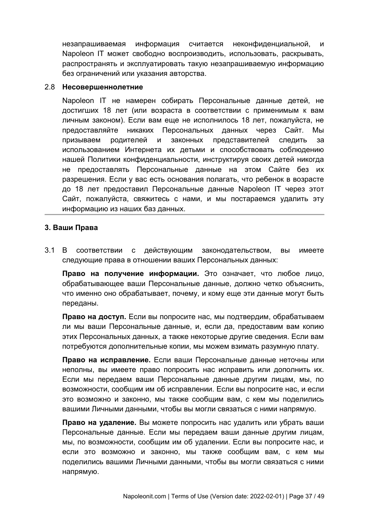незапрашиваемая информация считается неконфиденциальной, и Napoleon IT может свободно воспроизводить, использовать, раскрывать, распространять и эксплуатировать такую незапрашиваемую информацию без ограничений или указания авторства.

#### 2.8 **Несовершеннолетние**

Napoleon IT не намерен собирать Персональные данные детей, не достигших 18 лет (или возраста в соответствии с применимым к вам личным законом). Если вам еще не исполнилось 18 лет, пожалуйста, не предоставляйте никаких Персональных данных через Сайт. Мы призываем родителей и законных представителей следить за использованием Интернета их детьми и способствовать соблюдению нашей Политики конфиденциальности, инструктируя своих детей никогда не предоставлять Персональные данные на этом Сайте без их разрешения. Если у вас есть основания полагать, что ребенок в возрасте до 18 лет предоставил Персональные данные Napoleon IT через этот Сайт, пожалуйста, свяжитесь с нами, и мы постараемся удалить эту информацию из наших баз данных.

## <span id="page-36-0"></span>**3. Ваши Права**

3.1 В соответствии с действующим законодательством, вы имеете следующие права в отношении ваших Персональных данных:

**Право на получение информации.** Это означает, что любое лицо, обрабатывающее ваши Персональные данные, должно четко объяснить, что именно оно обрабатывает, почему, и кому еще эти данные могут быть переданы.

**Право на доступ.** Если вы попросите нас, мы подтвердим, обрабатываем ли мы ваши Персональные данные, и, если да, предоставим вам копию этих Персональных данных, а также некоторые другие сведения. Если вам потребуются дополнительные копии, мы можем взимать разумную плату.

**Право на исправление.** Если ваши Персональные данные неточны или неполны, вы имеете право попросить нас исправить или дополнить их. Если мы передаем ваши Персональные данные другим лицам, мы, по возможности, сообщим им об исправлении. Если вы попросите нас, и если это возможно и законно, мы также сообщим вам, с кем мы поделились вашими Личными данными, чтобы вы могли связаться с ними напрямую.

**Право на удаление.** Вы можете попросить нас удалить или убрать ваши Персональные данные. Если мы передаем ваши данные другим лицам, мы, по возможности, сообщим им об удалении. Если вы попросите нас, и если это возможно и законно, мы также сообщим вам, с кем мы поделились вашими Личными данными, чтобы вы могли связаться с ними напрямую.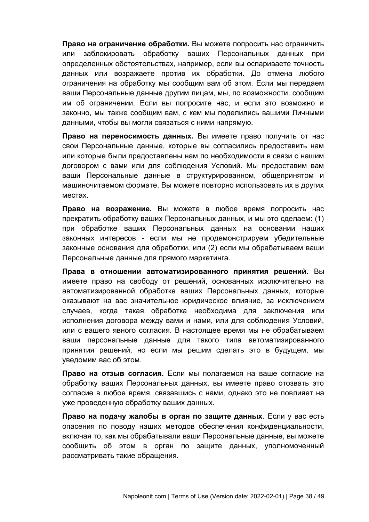**Право на ограничение обработки.** Вы можете попросить нас ограничить или заблокировать обработку ваших Персональных данных при определенных обстоятельствах, например, если вы оспариваете точность данных или возражаете против их обработки. До отмена любого ограничения на обработку мы сообщим вам об этом. Если мы передаем ваши Персональные данные другим лицам, мы, по возможности, сообщим им об ограничении. Если вы попросите нас, и если это возможно и законно, мы также сообщим вам, с кем мы поделились вашими Личными данными, чтобы вы могли связаться с ними напрямую.

**Право на переносимость данных.** Вы имеете право получить от нас свои Персональные данные, которые вы согласились предоставить нам или которые были предоставлены нам по необходимости в связи с нашим договором с вами или для соблюдения Условий. Мы предоставим вам ваши Персональные данные в структурированном, общепринятом и машиночитаемом формате. Вы можете повторно использовать их в других местах.

**Право на возражение.** Вы можете в любое время попросить нас прекратить обработку ваших Персональных данных, и мы это сделаем: (1) при обработке ваших Персональных данных на основании наших законных интересов - если мы не продемонстрируем убедительные законные основания для обработки, или (2) если мы обрабатываем ваши Персональные данные для прямого маркетинга.

**Права в отношении автоматизированного принятия решений.** Вы имеете право на свободу от решений, основанных исключительно на автоматизированной обработке ваших Персональных данных, которые оказывают на вас значительное юридическое влияние, за исключением случаев, когда такая обработка необходима для заключения или исполнения договора между вами и нами, или для соблюдения Условий, или с вашего явного согласия. В настоящее время мы не обрабатываем ваши персональные данные для такого типа автоматизированного принятия решений, но если мы решим сделать это в будущем, мы уведомим вас об этом.

**Право на отзыв согласия.** Если мы полагаемся на ваше согласие на обработку ваших Персональных данных, вы имеете право отозвать это согласие в любое время, связавшись с нами, однако это не повлияет на уже проведенную обработку ваших данных.

**Право на подачу жалобы в орган по защите данных**. Если у вас есть опасения по поводу наших методов обеспечения конфиденциальности, включая то, как мы обрабатывали ваши Персональные данные, вы можете сообщить об этом в орган по защите данных, уполномоченный рассматривать такие обращения.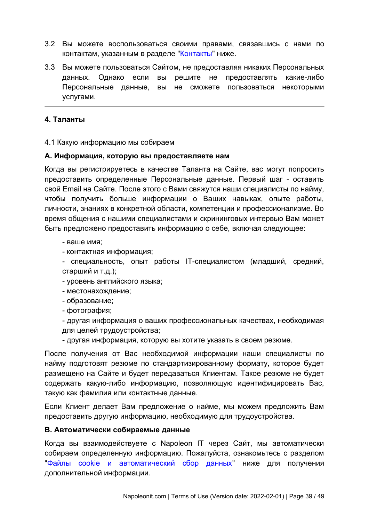- 3.2 Вы можете воспользоваться своими правами, связавшись с нами по контактам, указанным в разделе ["Контакты](#page-48-0)" ниже.
- 3.3 Вы можете пользоваться Сайтом, не предоставляя никаких Персональных данных. Однако если вы решите не предоставлять какие-либо Персональные данные, вы не сможете пользоваться некоторыми услугами.

### <span id="page-38-0"></span>**4. Таланты**

4.1 Какую информацию мы собираем

#### **A. Информация, которую вы предоставляете нам**

Когда вы регистрируетесь в качестве Таланта на Сайте, вас могут попросить предоставить определенные Персональные данные. Первый шаг - оставить свой Email на Сайте. После этого с Вами свяжутся наши специалисты по найму, чтобы получить больше информации о Ваших навыках, опыте работы, личности, знаниях в конкретной области, компетенции и профессионализме. Во время общения с нашими специалистами и скрининговых интервью Вам может быть предложено предоставить информацию о себе, включая следующее:

- ваше имя;
- контактная информация;

- специальность, опыт работы IT-специалистом (младший, средний, старший и т.д.);

- уровень английского языка;
- местонахождение;
- образование;

- фотография;

- другая информация о ваших профессиональных качествах, необходимая для целей трудоустройства;

- другая информация, которую вы хотите указать в своем резюме.

После получения от Вас необходимой информации наши специалисты по найму подготовят резюме по стандартизированному формату, которое будет размещено на Сайте и будет передаваться Клиентам. Такое резюме не будет содержать какую-либо информацию, позволяющую идентифицировать Вас, такую как фамилия или контактные данные.

Если Клиент делает Вам предложение о найме, мы можем предложить Вам предоставить другую информацию, необходимую для трудоустройства.

#### **B. Автоматически собираемые данные**

Когда вы взаимодействуете с Napoleon IT через Сайт, мы автоматически собираем определенную информацию. Пожалуйста, ознакомьтесь с разделом "Файлы cookie и автоматический сбор данных" ниже для получения дополнительной информации.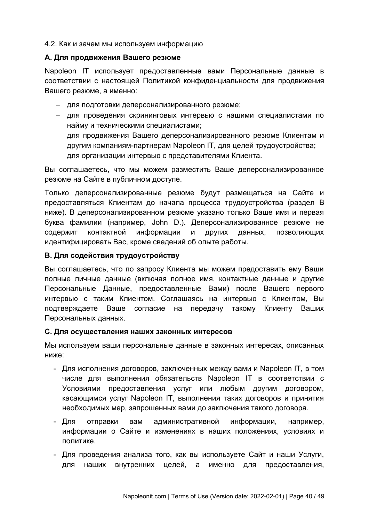### 4.2. Как и зачем мы используем информацию

### **A. Для продвижения Вашего резюме**

Napoleon IT использует предоставленные вами Персональные данные в соответствии с настоящей Политикой конфиденциальности для продвижения Вашего резюме, а именно:

- для подготовки деперсонализированного резюме;
- для проведения скрининговых интервью с нашими специалистами по найму и техническими специалистами;
- для продвижения Вашего деперсонализированного резюме Клиентам и другим компаниям-партнерам Napoleon IT, для целей трудоустройства;
- для организации интервью с представителями Клиента.

Вы соглашаетесь, что мы можем разместить Ваше деперсонализированное резюме на Сайте в публичном доступе.

Только деперсонализированные резюме будут размещаться на Сайте и предоставляться Клиентам до начала процесса трудоустройства (раздел B ниже). В деперсонализированном резюме указано только Ваше имя и первая буква фамилии (например, John D.). Деперсонализированное резюме не содержит контактной информации и других данных, позволяющих идентифицировать Вас, кроме сведений об опыте работы.

## **B. Для содействия трудоустройству**

Вы соглашаетесь, что по запросу Клиента мы можем предоставить ему Ваши полные личные данные (включая полное имя, контактные данные и другие Персональные Данные, предоставленные Вами) после Вашего первого интервью с таким Клиентом. Соглашаясь на интервью с Клиентом, Вы подтверждаете Ваше согласие на передачу такому Клиенту Ваших Персональных данных.

#### **C. Для осуществления наших законных интересов**

Мы используем ваши персональные данные в законных интересах, описанных ниже:

- Для исполнения договоров, заключенных между вами и Napoleon IT, в том числе для выполнения обязательств Napoleon IT в соответствии с Условиями предоставления услуг или любым другим договором, касающимся услуг Napoleon IT, выполнения таких договоров и принятия необходимых мер, запрошенных вами до заключения такого договора.
- Для отправки вам административной информации, например, информации о Сайте и изменениях в наших положениях, условиях и политике.
- Для проведения анализа того, как вы используете Сайт и наши Услуги, для наших внутренних целей, а именно для предоставления,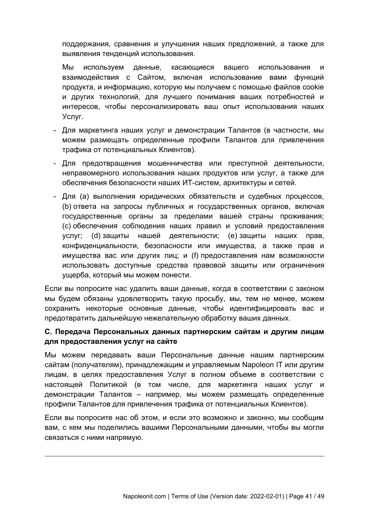поддержания, сравнения и улучшения наших предложений, а также для выявления тенденций использования.

Мы используем данные, касающиеся вашего использования и взаимодействия с Сайтом, включая использование вами функций продукта, и информацию, которую мы получаем с помощью файлов cookie и других технологий, для лучшего понимания ваших потребностей и интересов, чтобы персонализировать ваш опыт использования наших Услуг.

- Для маркетинга наших услуг и демонстрации Талантов (в частности, мы можем размещать определенные профили Талантов для привлечения трафика от потенциальных Клиентов).
- Для предотвращения мошенничества или преступной деятельности, неправомерного использования наших продуктов или услуг, а также для обеспечения безопасности наших ИТ-систем, архитектуры и сетей.
- Для (a) выполнения юридических обязательств и судебных процессов, (b) ответа на запросы публичных и государственных органов, включая государственные органы за пределами вашей страны проживания; (c) обеспечения соблюдения наших правил и условий предоставления услуг; (d) защиты нашей деятельности; (e) защиты наших прав, конфиденциальности, безопасности или имущества, а также прав и имущества вас или других лиц; и (f) предоставления нам возможности использовать доступные средства правовой защиты или ограничения ущерба, который мы можем понести.

Если вы попросите нас удалить ваши данные, когда в соответствии с законом мы будем обязаны удовлетворить такую просьбу, мы, тем не менее, можем сохранить некоторые основные данные, чтобы идентифицировать вас и предотвратить дальнейшую нежелательную обработку ваших данных.

# **C. Передача Персональных данных партнерским сайтам и другим лицам для предоставления услуг на сайте**

Мы можем передавать ваши Персональные данные нашим партнерским сайтам (получателям), принадлежащим и управляемым Napoleon IT или другим лицам, в целях предоставления Услуг в полном объеме в соответствии с настоящей Политикой (в том числе, для маркетинга наших услуг и демонстрации Талантов – например, мы можем размещать определенные профили Талантов для привлечения трафика от потенциальных Клиентов).

Если вы попросите нас об этом, и если это возможно и законно, мы сообщим вам, с кем мы поделились вашими Персональными данными, чтобы вы могли связаться с ними напрямую.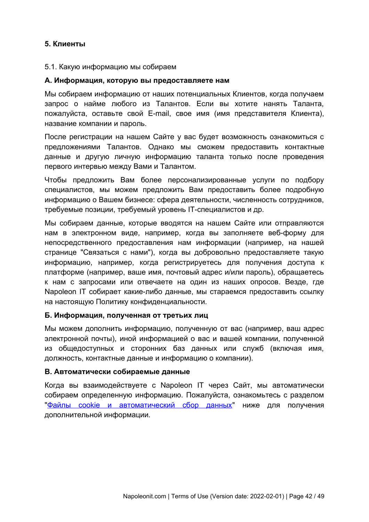# <span id="page-41-0"></span>**5. Клиенты**

#### 5.1. Какую информацию мы собираем

#### **A. Информация, которую вы предоставляете нам**

Мы собираем информацию от наших потенциальных Клиентов, когда получаем запрос о найме любого из Талантов. Если вы хотите нанять Таланта, пожалуйста, оставьте свой E-mail, свое имя (имя представителя Клиента), название компании и пароль.

После регистрации на нашем Сайте у вас будет возможность ознакомиться с предложениями Талантов. Однако мы сможем предоставить контактные данные и другую личную информацию таланта только после проведения первого интервью между Вами и Талантом.

Чтобы предложить Вам более персонализированные услуги по подбору специалистов, мы можем предложить Вам предоставить более подробную информацию о Вашем бизнесе: сфера деятельности, численность сотрудников, требуемые позиции, требуемый уровень IT-специалистов и др.

Мы собираем данные, которые вводятся на нашем Сайте или отправляются нам в электронном виде, например, когда вы заполняете веб-форму для непосредственного предоставления нам информации (например, на нашей странице "Связаться с нами"), когда вы добровольно предоставляете такую информацию, например, когда регистрируетесь для получения доступа к платформе (например, ваше имя, почтовый адрес и/или пароль), обращаетесь к нам с запросами или отвечаете на один из наших опросов. Везде, где Napoleon IT собирает какие-либо данные, мы стараемся предоставить ссылку на настоящую Политику конфиденциальности.

## **Б. Информация, полученная от третьих лиц**

Мы можем дополнить информацию, полученную от вас (например, ваш адрес электронной почты), иной информацией о вас и вашей компании, полученной из общедоступных и сторонних баз данных или служб (включая имя, должность, контактные данные и информацию о компании).

## **В. Автоматически собираемые данные**

Когда вы взаимодействуете с Napoleon IT через Сайт, мы автоматически собираем определенную информацию. Пожалуйста, ознакомьтесь с разделом ["Файлы cookie и автоматический сбор данных"](#page-44-0) ниже для получения дополнительной информации.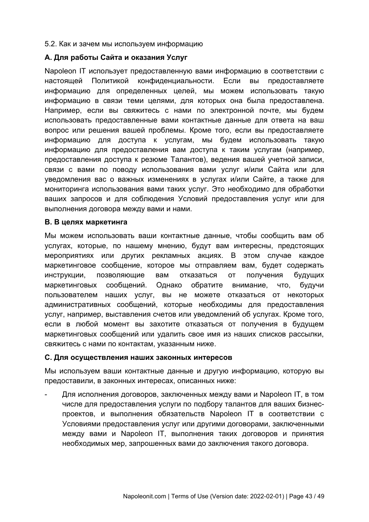### 5.2. Как и зачем мы используем информацию

### **A. Для работы Сайта и оказания Услуг**

Napoleon IT использует предоставленную вами информацию в соответствии с настоящей Политикой конфиденциальности. Если вы предоставляете информацию для определенных целей, мы можем использовать такую информацию в связи теми целями, для которых она была предоставлена. Например, если вы свяжитесь с нами по электронной почте, мы будем использовать предоставленные вами контактные данные для ответа на ваш вопрос или решения вашей проблемы. Кроме того, если вы предоставляете информацию для доступа к услугам, мы будем использовать такую информацию для предоставления вам доступа к таким услугам (например, предоставления доступа к резюме Талантов), ведения вашей учетной записи, связи с вами по поводу использования вами услуг и/или Сайта или для уведомления вас о важных изменениях в услугах и/или Сайте, а также для мониторинга использования вами таких услуг. Это необходимо для обработки ваших запросов и для соблюдения Условий предоставления услуг или для выполнения договора между вами и нами.

### **B. В целях маркетинга**

Мы можем использовать ваши контактные данные, чтобы сообщить вам об услугах, которые, по нашему мнению, будут вам интересны, предстоящих мероприятиях или других рекламных акциях. В этом случае каждое маркетинговое сообщение, которое мы отправляем вам, будет содержать инструкции, позволяющие вам отказаться от получения будущих маркетинговых сообщений. Однако обратите внимание, что, будучи пользователем наших услуг, вы не можете отказаться от некоторых административных сообщений, которые необходимы для предоставления услуг, например, выставления счетов или уведомлений об услугах. Кроме того, если в любой момент вы захотите отказаться от получения в будущем маркетинговых сообщений или удалить свое имя из наших списков рассылки, свяжитесь с нами по контактам, указанным ниже.

## **C. Для осуществления наших законных интересов**

Мы используем ваши контактные данные и другую информацию, которую вы предоставили, в законных интересах, описанных ниже:

- Для исполнения договоров, заключенных между вами и Napoleon IT, в том числе для предоставления услуги по подбору талантов для ваших бизнеспроектов, и выполнения обязательств Napoleon IT в соответствии с Условиями предоставления услуг или другими договорами, заключенными между вами и Napoleon IT, выполнения таких договоров и принятия необходимых мер, запрошенных вами до заключения такого договора.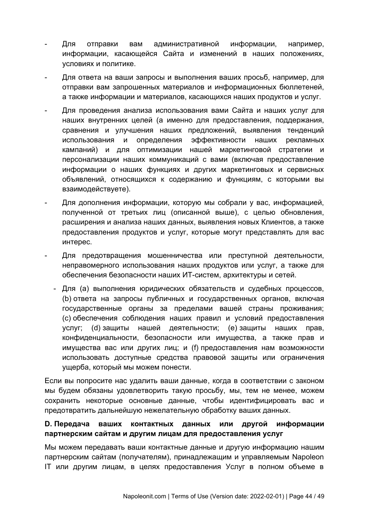- Для отправки вам административной информации, например, информации, касающейся Сайта и изменений в наших положениях, условиях и политике.
- Для ответа на ваши запросы и выполнения ваших просьб, например, для отправки вам запрошенных материалов и информационных бюллетеней, а также информации и материалов, касающихся наших продуктов и услуг.
- Для проведения анализа использования вами Сайта и наших услуг для наших внутренних целей (а именно для предоставления, поддержания, сравнения и улучшения наших предложений, выявления тенденций использования и определения эффективности наших рекламных кампаний) и для оптимизации нашей маркетинговой стратегии и персонализации наших коммуникаций с вами (включая предоставление информации о наших функциях и других маркетинговых и сервисных объявлений, относящихся к содержанию и функциям, с которыми вы взаимодействуете).
- Для дополнения информации, которую мы собрали у вас, информацией, полученной от третьих лиц (описанной выше), с целью обновления, расширения и анализа наших данных, выявления новых Клиентов, а также предоставления продуктов и услуг, которые могут представлять для вас интерес.
- Для предотвращения мошенничества или преступной деятельности, неправомерного использования наших продуктов или услуг, а также для обеспечения безопасности наших ИТ-систем, архитектуры и сетей.
	- Для (a) выполнения юридических обязательств и судебных процессов, (b) ответа на запросы публичных и государственных органов, включая государственные органы за пределами вашей страны проживания; (c) обеспечения соблюдения наших правил и условий предоставления услуг; (d) защиты нашей деятельности; (e) защиты наших прав, конфиденциальности, безопасности или имущества, а также прав и имущества вас или других лиц; и (f) предоставления нам возможности использовать доступные средства правовой защиты или ограничения ущерба, который мы можем понести.

Если вы попросите нас удалить ваши данные, когда в соответствии с законом мы будем обязаны удовлетворить такую просьбу, мы, тем не менее, можем сохранить некоторые основные данные, чтобы идентифицировать вас и предотвратить дальнейшую нежелательную обработку ваших данных.

# **D. Передача ваших контактных данных или другой информации партнерским сайтам и другим лицам для предоставления услуг**

Мы можем передавать ваши контактные данные и другую информацию нашим партнерским сайтам (получателям), принадлежащим и управляемым Napoleon IT или другим лицам, в целях предоставления Услуг в полном объеме в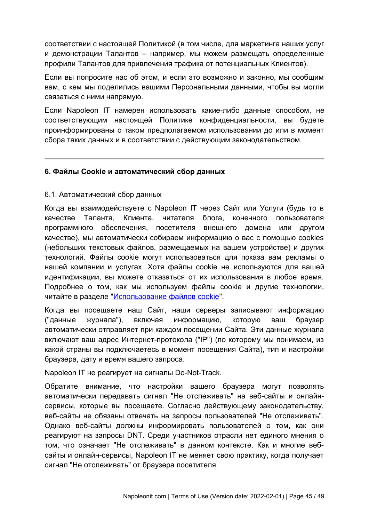соответствии с настоящей Политикой (в том числе, для маркетинга наших услуг и демонстрации Талантов – например, мы можем размещать определенные профили Талантов для привлечения трафика от потенциальных Клиентов).

Если вы попросите нас об этом, и если это возможно и законно, мы сообщим вам, с кем мы поделились вашими Персональными данными, чтобы вы могли связаться с ними напрямую.

Если Napoleon IT намерен использовать какие-либо данные способом, не соответствующим настоящей Политике конфиденциальности, вы будете проинформированы о таком предполагаемом использовании до или в момент сбора таких данных и в соответствии с действующим законодательством.

### <span id="page-44-0"></span>**6. Файлы Cookie и автоматический сбор данных**

### 6.1. Автоматический сбор данных

Когда вы взаимодействуете с Napoleon IT через Сайт или Услуги (будь то в качестве Таланта, Клиента, читателя блога, конечного пользователя программного обеспечения, посетителя внешнего домена или другом качестве), мы автоматически собираем информацию о вас с помощью cookies (небольших текстовых файлов, размещаемых на вашем устройстве) и других технологий. Файлы cookie могут использоваться для показа вам рекламы о нашей компании и услугах. Хотя файлы cookie не используются для вашей идентификации, вы можете отказаться от их использования в любое время. Подробнее о том, как мы используем файлы cookie и другие технологии, читайте в разделе "[Использование файлов cookie"](#page-45-0).

Когда вы посещаете наш Сайт, наши серверы записывают информацию ("данные журнала"), включая информацию, которую ваш браузер автоматически отправляет при каждом посещении Сайта. Эти данные журнала включают ваш адрес Интернет-протокола ("IP") (по которому мы понимаем, из какой страны вы подключаетесь в момент посещения Сайта), тип и настройки браузера, дату и время вашего запроса.

Napoleon IT не реагирует на сигналы Do-Not-Track.

Обратите внимание, что настройки вашего браузера могут позволять автоматически передавать сигнал "Не отслеживать" на веб-сайты и онлайнсервисы, которые вы посещаете. Согласно действующему законодательству, веб-сайты не обязаны отвечать на запросы пользователей "Не отслеживать". Однако веб-сайты должны информировать пользователей о том, как они реагируют на запросы DNT. Среди участников отрасли нет единого мнения о том, что означает "Не отслеживать" в данном контексте. Как и многие вебсайты и онлайн-сервисы, Napoleon IT не меняет свою практику, когда получает сигнал "Не отслеживать" от браузера посетителя.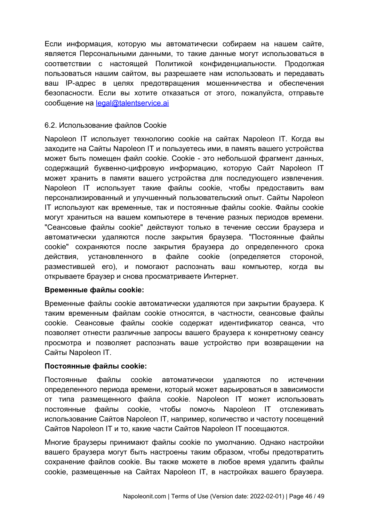Если информация, которую мы автоматически собираем на нашем сайте, является Персональными данными, то такие данные могут использоваться в соответствии с настоящей Политикой конфиденциальности. Продолжая пользоваться нашим сайтом, вы разрешаете нам использовать и передавать ваш IP-адрес в целях предотвращения мошенничества и обеспечения безопасности. Если вы хотите отказаться от этого, пожалуйста, отправьте сообщение на legal@talentservice.ai

### <span id="page-45-0"></span>6.2. Использование файлов Cookie

Napoleon IT использует технологию cookie на сайтах Napoleon IT. Когда вы заходите на Сайты Napoleon IT и пользуетесь ими, в память вашего устройства может быть помещен файл cookie. Cookie - это небольшой фрагмент данных, содержащий буквенно-цифровую информацию, которую Сайт Napoleon IT может хранить в памяти вашего устройства для последующего извлечения. Napoleon IT использует такие файлы cookie, чтобы предоставить вам персонализированный и улучшенный пользовательский опыт. Сайты Napoleon IT используют как временные, так и постоянные файлы cookie. Файлы cookie могут храниться на вашем компьютере в течение разных периодов времени. "Сеансовые файлы cookie" действуют только в течение сессии браузера и автоматически удаляются после закрытия браузера. "Постоянные файлы cookie" сохраняются после закрытия браузера до определенного срока действия, установленного в файле cookie (определяется стороной, разместившей его), и помогают распознать ваш компьютер, когда вы открываете браузер и снова просматриваете Интернет.

#### **Временные файлы cookie:**

Временные файлы cookie автоматически удаляются при закрытии браузера. К таким временным файлам cookie относятся, в частности, сеансовые файлы cookie. Сеансовые файлы cookie содержат идентификатор сеанса, что позволяет отнести различные запросы вашего браузера к конкретному сеансу просмотра и позволяет распознать ваше устройство при возвращении на Сайты Napoleon IT.

## **Постоянные файлы cookie:**

Постоянные файлы cookie автоматически удаляются по истечении определенного периода времени, который может варьироваться в зависимости от типа размещенного файла cookie. Napoleon IT может использовать постоянные файлы cookie, чтобы помочь Napoleon IT отслеживать использование Сайтов Napoleon IT, например, количество и частоту посещений Сайтов Napoleon IT и то, какие части Сайтов Napoleon IT посещаются.

Многие браузеры принимают файлы cookie по умолчанию. Однако настройки вашего браузера могут быть настроены таким образом, чтобы предотвратить сохранение файлов cookie. Вы также можете в любое время удалить файлы cookie, размещенные на Сайтах Napoleon IT, в настройках вашего браузера.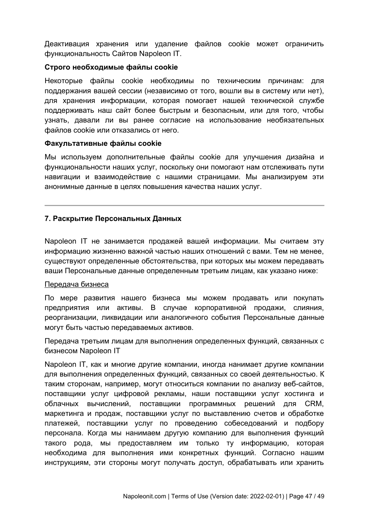Деактивация хранения или удаление файлов cookie может ограничить функциональность Сайтов Napoleon IT.

### **Строго необходимые файлы cookie**

Некоторые файлы cookie необходимы по техническим причинам: для поддержания вашей сессии (независимо от того, вошли вы в систему или нет), для хранения информации, которая помогает нашей технической службе поддерживать наш сайт более быстрым и безопасным, или для того, чтобы узнать, давали ли вы ранее согласие на использование необязательных файлов cookie или отказались от него.

### **Факультативные файлы cookie**

Мы используем дополнительные файлы cookie для улучшения дизайна и функциональности наших услуг, поскольку они помогают нам отслеживать пути навигации и взаимодействие с нашими страницами. Мы анализируем эти анонимные данные в целях повышения качества наших услуг.

# **7. Раскрытие Персональных Данных**

Napoleon IT не занимается продажей вашей информации. Мы считаем эту информацию жизненно важной частью наших отношений с вами. Тем не менее, существуют определенные обстоятельства, при которых мы можем передавать ваши Персональные данные определенным третьим лицам, как указано ниже:

## Передача бизнеса

По мере развития нашего бизнеса мы можем продавать или покупать предприятия или активы. В случае корпоративной продажи, слияния, реорганизации, ликвидации или аналогичного события Персональные данные могут быть частью передаваемых активов.

Передача третьим лицам для выполнения определенных функций, связанных с бизнесом Napoleon IT

Napoleon IT, как и многие другие компании, иногда нанимает другие компании для выполнения определенных функций, связанных со своей деятельностью. К таким сторонам, например, могут относиться компании по анализу веб-сайтов, поставщики услуг цифровой рекламы, наши поставщики услуг хостинга и облачных вычислений, поставщики программных решений для CRM, маркетинга и продаж, поставщики услуг по выставлению счетов и обработке платежей, поставщики услуг по проведению собеседований и подбору персонала. Когда мы нанимаем другую компанию для выполнения функций такого рода, мы предоставляем им только ту информацию, которая необходима для выполнения ими конкретных функций. Согласно нашим инструкциям, эти стороны могут получать доступ, обрабатывать или хранить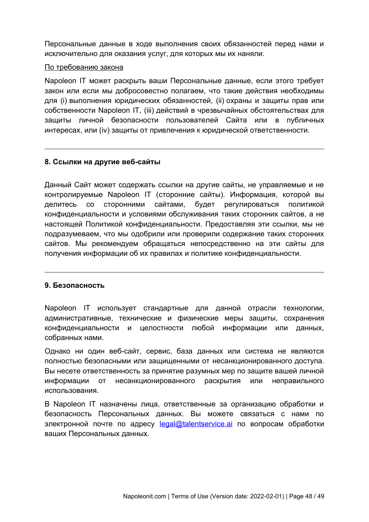Персональные данные в ходе выполнения своих обязанностей перед нами и исключительно для оказания услуг, для которых мы их наняли.

#### По требованию закона

Napoleon IT может раскрыть ваши Персональные данные, если этого требует закон или если мы добросовестно полагаем, что такие действия необходимы для (i) выполнения юридических обязанностей, (ii) охраны и защиты прав или собственности Napoleon IT, (iii) действий в чрезвычайных обстоятельствах для защиты личной безопасности пользователей Сайта или в публичных интересах, или (iv) защиты от привлечения к юридической ответственности.

## **8. Ссылки на другие веб-сайты**

Данный Сайт может содержать ссылки на другие сайты, не управляемые и не контролируемые Napoleon IT (сторонние сайты). Информация, которой вы делитесь со сторонними сайтами, будет регулироваться политикой конфиденциальности и условиями обслуживания таких сторонних сайтов, а не настоящей Политикой конфиденциальности. Предоставляя эти ссылки, мы не подразумеваем, что мы одобрили или проверили содержание таких сторонних сайтов. Мы рекомендуем обращаться непосредственно на эти сайты для получения информации об их правилах и политике конфиденциальности.

#### **9. Безопасность**

Napoleon IT использует стандартные для данной отрасли технологии, административные, технические и физические меры защиты, сохранения конфиденциальности и целостности любой информации или данных, собранных нами.

Однако ни один веб-сайт, сервис, база данных или система не являются полностью безопасными или защищенными от несанкционированного доступа. Вы несете ответственность за принятие разумных мер по защите вашей личной информации от несанкционированного раскрытия или неправильного использования.

В Napoleon IT назначены лица, ответственные за организацию обработки и безопасность Персональных данных. Вы можете связаться с нами по электронной почте по адресу  $\text{legal@talentservice.}$ аі по вопросам обработки ваших Персональных данных.